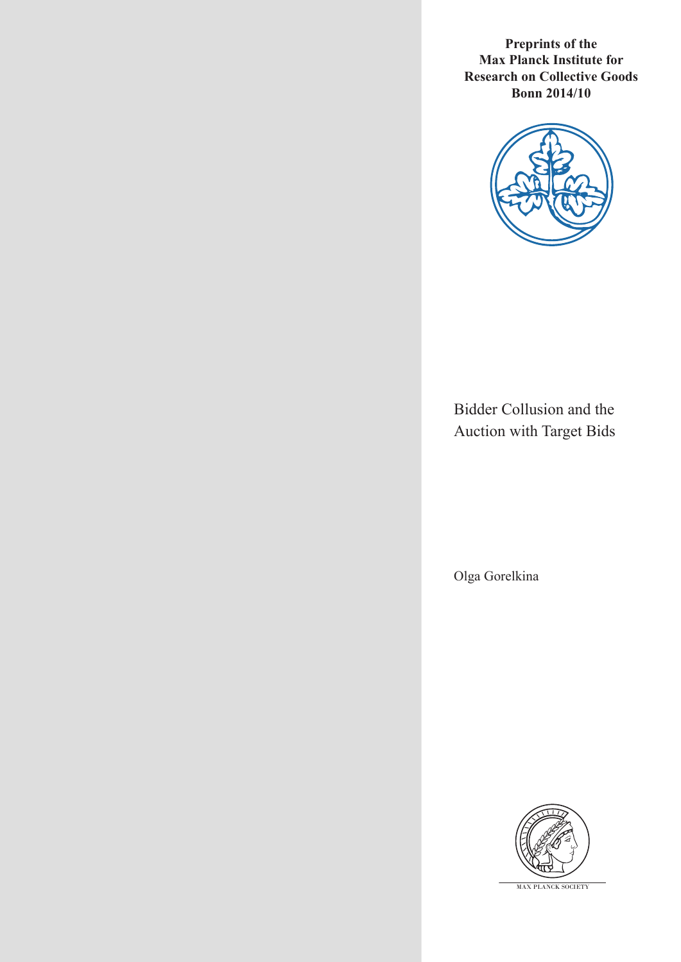**Preprints of the Max Planck Institute for Research on Collective Goods Bonn 2014/10**



Bidder Collusion and the Auction with Target Bids

Olga Gorelkina



MAX PLANCK SOCIETY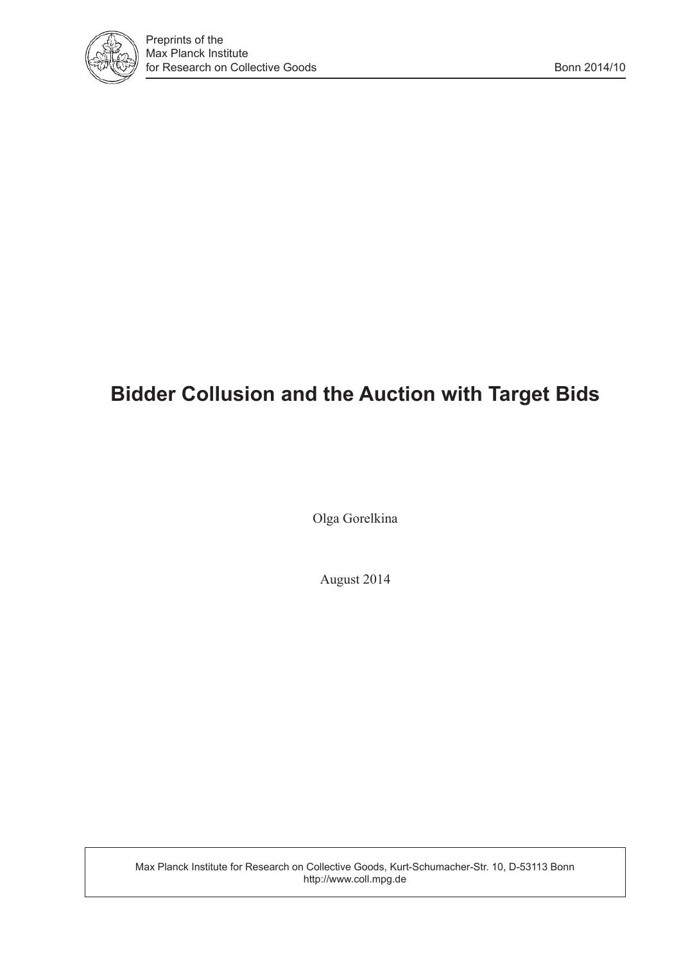

## **Bidder Collusion and the Auction with Target Bids**

Olga Gorelkina

August 2014

Max Planck Institute for Research on Collective Goods, Kurt-Schumacher-Str. 10, D-53113 Bonn http://www.coll.mpg.de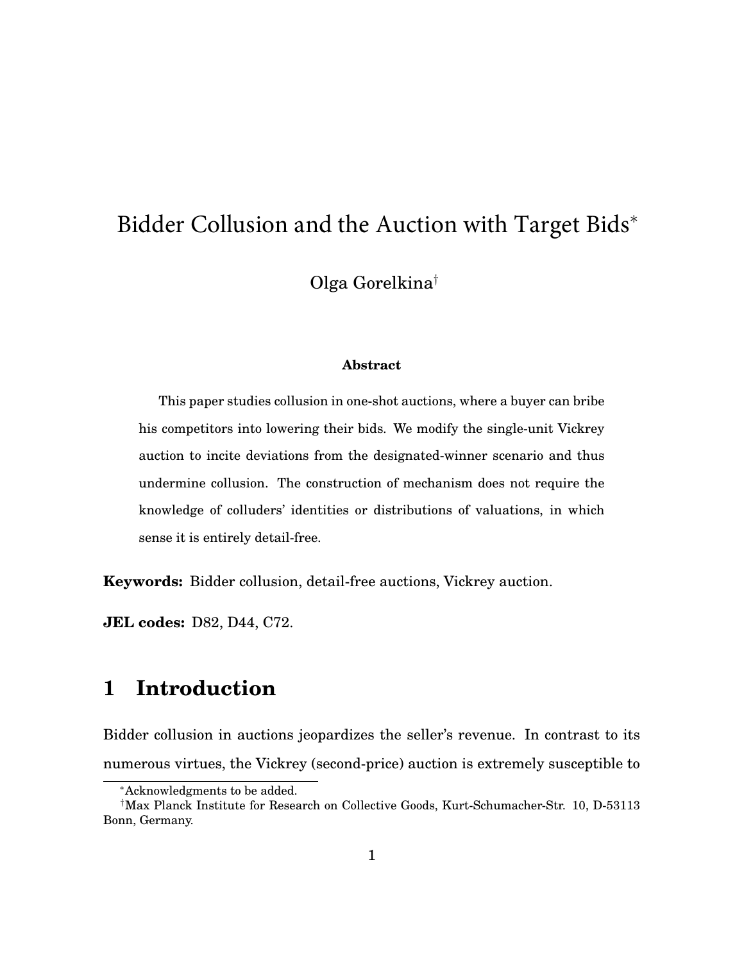# Bidder Collusion and the Auction with Target Bids<sup>\*</sup>

Olga Gorelkina†

#### **Abstract**

This paper studies collusion in one-shot auctions, where a buyer can bribe his competitors into lowering their bids. We modify the single-unit Vickrey auction to incite deviations from the designated-winner scenario and thus undermine collusion. The construction of mechanism does not require the knowledge of colluders' identities or distributions of valuations, in which sense it is entirely detail-free.

**Keywords:** Bidder collusion, detail-free auctions, Vickrey auction.

**JEL codes:** D82, D44, C72.

## **1 Introduction**

Bidder collusion in auctions jeopardizes the seller's revenue. In contrast to its numerous virtues, the Vickrey (second-price) auction is extremely susceptible to

<sup>∗</sup>Acknowledgments to be added.

<sup>†</sup>Max Planck Institute for Research on Collective Goods, Kurt-Schumacher-Str. 10, D-53113 Bonn, Germany.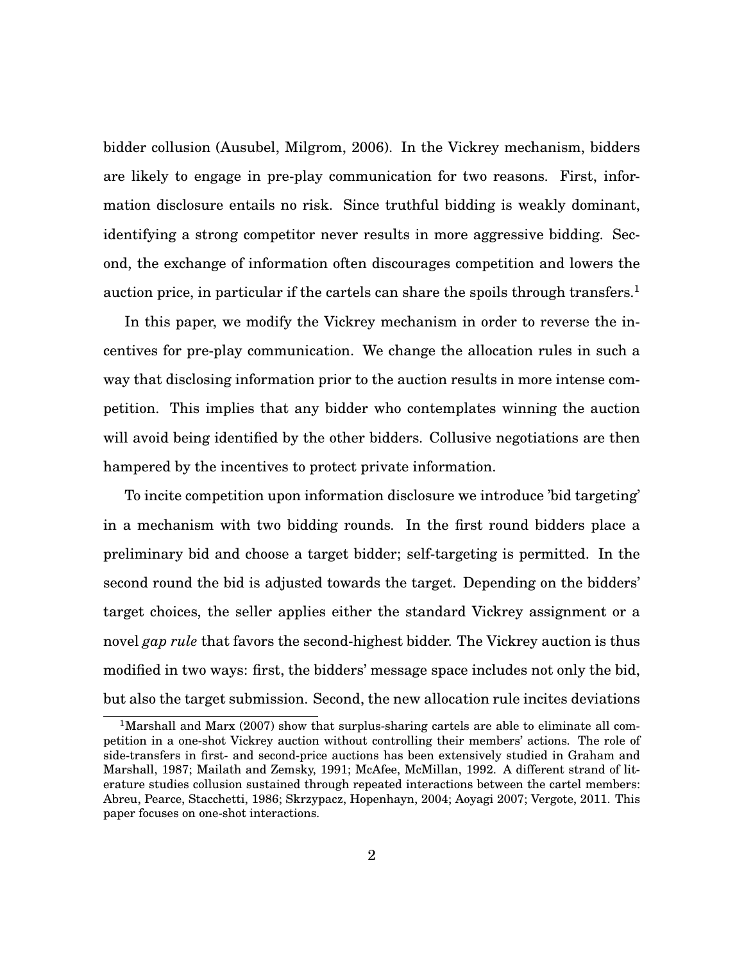bidder collusion (Ausubel, Milgrom, 2006). In the Vickrey mechanism, bidders are likely to engage in pre-play communication for two reasons. First, information disclosure entails no risk. Since truthful bidding is weakly dominant, identifying a strong competitor never results in more aggressive bidding. Second, the exchange of information often discourages competition and lowers the auction price, in particular if the cartels can share the spoils through transfers.<sup>[1](#page-3-0)</sup>

In this paper, we modify the Vickrey mechanism in order to reverse the incentives for pre-play communication. We change the allocation rules in such a way that disclosing information prior to the auction results in more intense competition. This implies that any bidder who contemplates winning the auction will avoid being identified by the other bidders. Collusive negotiations are then hampered by the incentives to protect private information.

To incite competition upon information disclosure we introduce 'bid targeting' in a mechanism with two bidding rounds. In the first round bidders place a preliminary bid and choose a target bidder; self-targeting is permitted. In the second round the bid is adjusted towards the target. Depending on the bidders' target choices, the seller applies either the standard Vickrey assignment or a novel *gap rule* that favors the second-highest bidder. The Vickrey auction is thus modified in two ways: first, the bidders' message space includes not only the bid, but also the target submission. Second, the new allocation rule incites deviations

<span id="page-3-0"></span><sup>&</sup>lt;sup>1</sup>Marshall and Marx (2007) show that surplus-sharing cartels are able to eliminate all competition in a one-shot Vickrey auction without controlling their members' actions. The role of side-transfers in first- and second-price auctions has been extensively studied in Graham and Marshall, 1987; Mailath and Zemsky, 1991; McAfee, McMillan, 1992. A different strand of literature studies collusion sustained through repeated interactions between the cartel members: Abreu, Pearce, Stacchetti, 1986; Skrzypacz, Hopenhayn, 2004; Aoyagi 2007; Vergote, 2011. This paper focuses on one-shot interactions.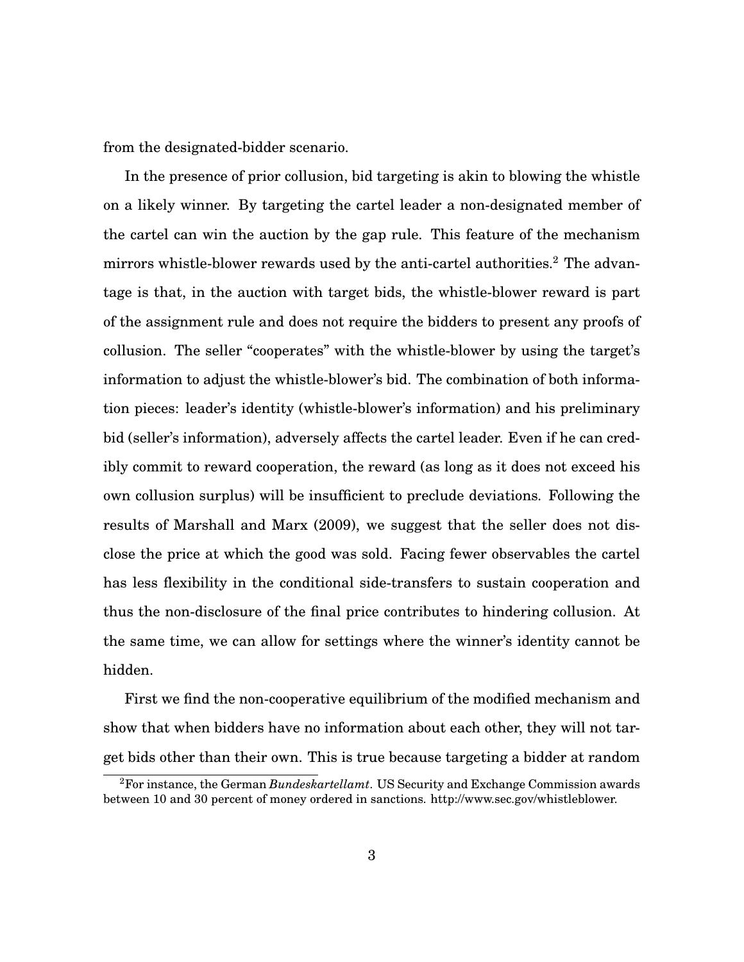from the designated-bidder scenario.

In the presence of prior collusion, bid targeting is akin to blowing the whistle on a likely winner. By targeting the cartel leader a non-designated member of the cartel can win the auction by the gap rule. This feature of the mechanism mirrors whistle-blower rewards used by the anti-cartel authorities.<sup>[2](#page-4-0)</sup> The advantage is that, in the auction with target bids, the whistle-blower reward is part of the assignment rule and does not require the bidders to present any proofs of collusion. The seller "cooperates" with the whistle-blower by using the target's information to adjust the whistle-blower's bid. The combination of both information pieces: leader's identity (whistle-blower's information) and his preliminary bid (seller's information), adversely affects the cartel leader. Even if he can credibly commit to reward cooperation, the reward (as long as it does not exceed his own collusion surplus) will be insufficient to preclude deviations. Following the results of Marshall and Marx (2009), we suggest that the seller does not disclose the price at which the good was sold. Facing fewer observables the cartel has less flexibility in the conditional side-transfers to sustain cooperation and thus the non-disclosure of the final price contributes to hindering collusion. At the same time, we can allow for settings where the winner's identity cannot be hidden.

First we find the non-cooperative equilibrium of the modified mechanism and show that when bidders have no information about each other, they will not target bids other than their own. This is true because targeting a bidder at random

<span id="page-4-0"></span><sup>2</sup>For instance, the German *Bundeskartellamt*. US Security and Exchange Commission awards between 10 and 30 percent of money ordered in sanctions. http://www.sec.gov/whistleblower.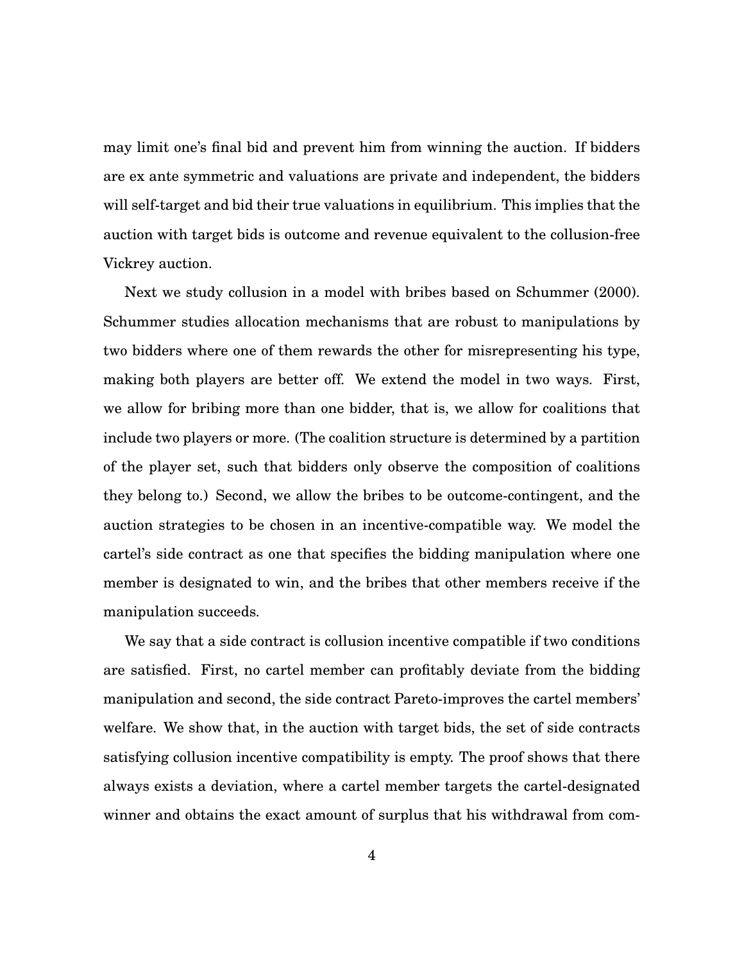may limit one's final bid and prevent him from winning the auction. If bidders are ex ante symmetric and valuations are private and independent, the bidders will self-target and bid their true valuations in equilibrium. This implies that the auction with target bids is outcome and revenue equivalent to the collusion-free Vickrey auction.

Next we study collusion in a model with bribes based on Schummer (2000). Schummer studies allocation mechanisms that are robust to manipulations by two bidders where one of them rewards the other for misrepresenting his type, making both players are better off. We extend the model in two ways. First, we allow for bribing more than one bidder, that is, we allow for coalitions that include two players or more. (The coalition structure is determined by a partition of the player set, such that bidders only observe the composition of coalitions they belong to.) Second, we allow the bribes to be outcome-contingent, and the auction strategies to be chosen in an incentive-compatible way. We model the cartel's side contract as one that specifies the bidding manipulation where one member is designated to win, and the bribes that other members receive if the manipulation succeeds.

We say that a side contract is collusion incentive compatible if two conditions are satisfied. First, no cartel member can profitably deviate from the bidding manipulation and second, the side contract Pareto-improves the cartel members' welfare. We show that, in the auction with target bids, the set of side contracts satisfying collusion incentive compatibility is empty. The proof shows that there always exists a deviation, where a cartel member targets the cartel-designated winner and obtains the exact amount of surplus that his withdrawal from com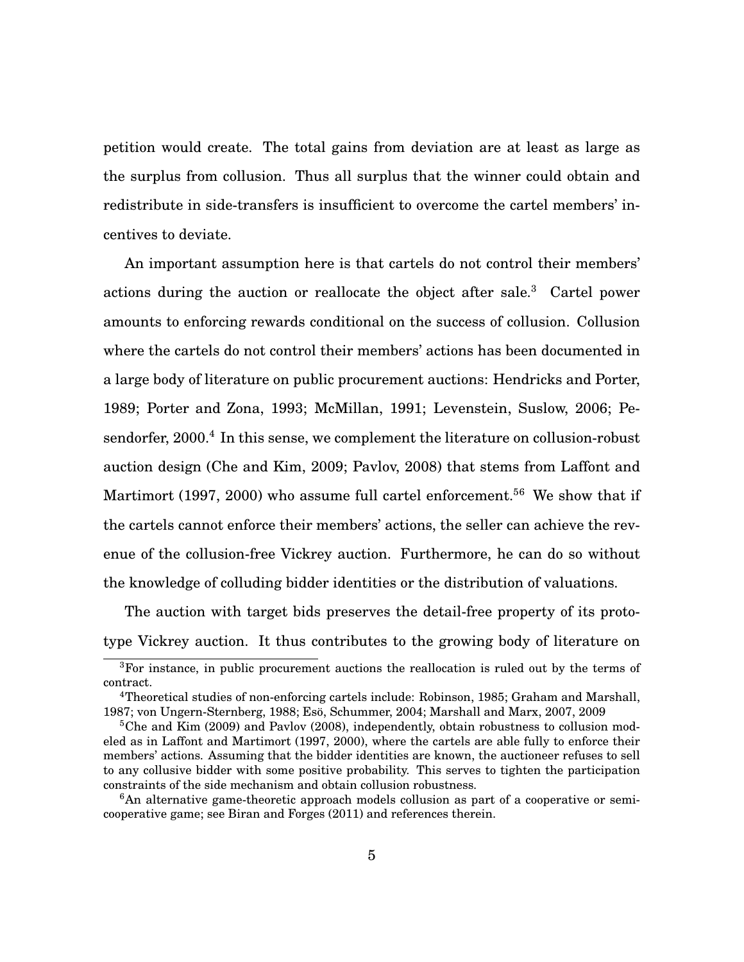petition would create. The total gains from deviation are at least as large as the surplus from collusion. Thus all surplus that the winner could obtain and redistribute in side-transfers is insufficient to overcome the cartel members' incentives to deviate.

An important assumption here is that cartels do not control their members' actions during the auction or reallocate the object after sale.<sup>[3](#page-6-0)</sup> Cartel power amounts to enforcing rewards conditional on the success of collusion. Collusion where the cartels do not control their members' actions has been documented in a large body of literature on public procurement auctions: Hendricks and Porter, 1989; Porter and Zona, 1993; McMillan, 1991; Levenstein, Suslow, 2006; Pe-sendorfer, 2000.<sup>[4](#page-6-1)</sup> In this sense, we complement the literature on collusion-robust auction design (Che and Kim, 2009; Pavlov, 2008) that stems from Laffont and Martimort (1997, 2000) who assume full cartel enforcement.<sup>[5](#page-6-2)[6](#page-6-3)</sup> We show that if the cartels cannot enforce their members' actions, the seller can achieve the revenue of the collusion-free Vickrey auction. Furthermore, he can do so without the knowledge of colluding bidder identities or the distribution of valuations.

The auction with target bids preserves the detail-free property of its prototype Vickrey auction. It thus contributes to the growing body of literature on

<span id="page-6-0"></span><sup>3</sup>For instance, in public procurement auctions the reallocation is ruled out by the terms of contract.

<span id="page-6-1"></span><sup>4</sup>Theoretical studies of non-enforcing cartels include: Robinson, 1985; Graham and Marshall, 1987; von Ungern-Sternberg, 1988; Eso, Schummer, 2004; Marshall and Marx, 2007, 2009 ¨

<span id="page-6-2"></span><sup>&</sup>lt;sup>5</sup>Che and Kim (2009) and Pavlov (2008), independently, obtain robustness to collusion modeled as in Laffont and Martimort (1997, 2000), where the cartels are able fully to enforce their members' actions. Assuming that the bidder identities are known, the auctioneer refuses to sell to any collusive bidder with some positive probability. This serves to tighten the participation constraints of the side mechanism and obtain collusion robustness.

<span id="page-6-3"></span><sup>6</sup>An alternative game-theoretic approach models collusion as part of a cooperative or semicooperative game; see Biran and Forges (2011) and references therein.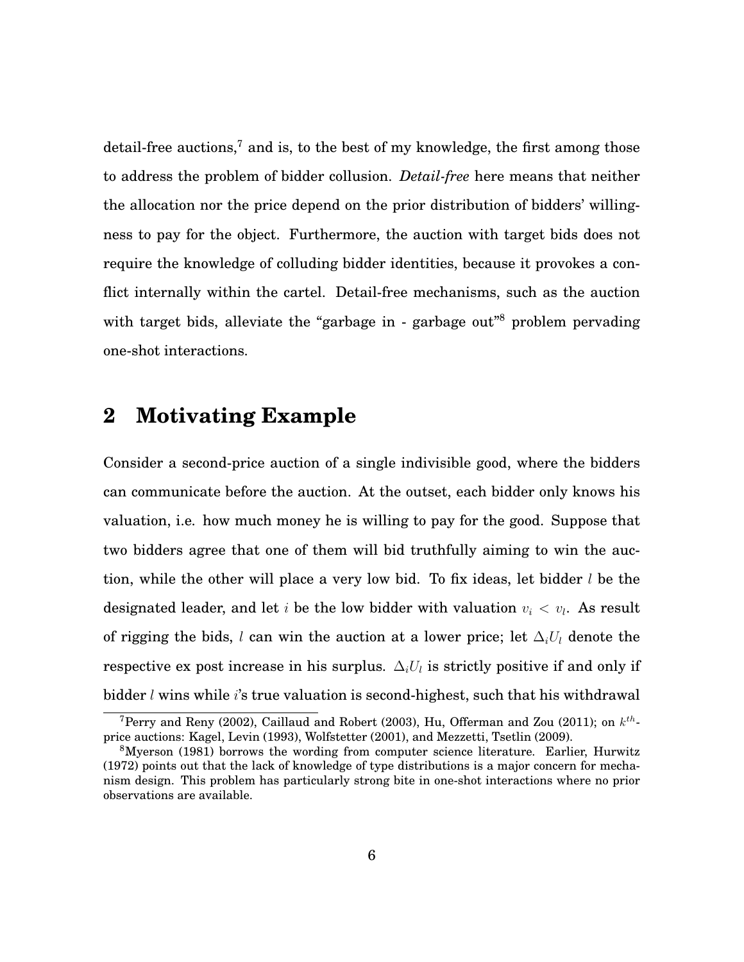detail-free auctions, $7$  and is, to the best of my knowledge, the first among those to address the problem of bidder collusion. *Detail-free* here means that neither the allocation nor the price depend on the prior distribution of bidders' willingness to pay for the object. Furthermore, the auction with target bids does not require the knowledge of colluding bidder identities, because it provokes a conflict internally within the cartel. Detail-free mechanisms, such as the auction with target bids, alleviate the "garbage in - garbage out"<sup>[8](#page-7-1)</sup> problem pervading one-shot interactions.

## **2 Motivating Example**

Consider a second-price auction of a single indivisible good, where the bidders can communicate before the auction. At the outset, each bidder only knows his valuation, i.e. how much money he is willing to pay for the good. Suppose that two bidders agree that one of them will bid truthfully aiming to win the auction, while the other will place a very low bid. To fix ideas, let bidder  $l$  be the designated leader, and let i be the low bidder with valuation  $v_i < v_l$ . As result of rigging the bids, l can win the auction at a lower price; let  $\Delta_i U_i$  denote the respective ex post increase in his surplus.  $\Delta_i U_i$  is strictly positive if and only if bidder  $l$  wins while  $i$ 's true valuation is second-highest, such that his withdrawal

<span id="page-7-0"></span><sup>&</sup>lt;sup>7</sup>Perry and Reny (2002), Caillaud and Robert (2003), Hu, Offerman and Zou (2011); on  $k^{th}$ price auctions: Kagel, Levin (1993), Wolfstetter (2001), and Mezzetti, Tsetlin (2009).

<span id="page-7-1"></span><sup>8</sup>Myerson (1981) borrows the wording from computer science literature. Earlier, Hurwitz (1972) points out that the lack of knowledge of type distributions is a major concern for mechanism design. This problem has particularly strong bite in one-shot interactions where no prior observations are available.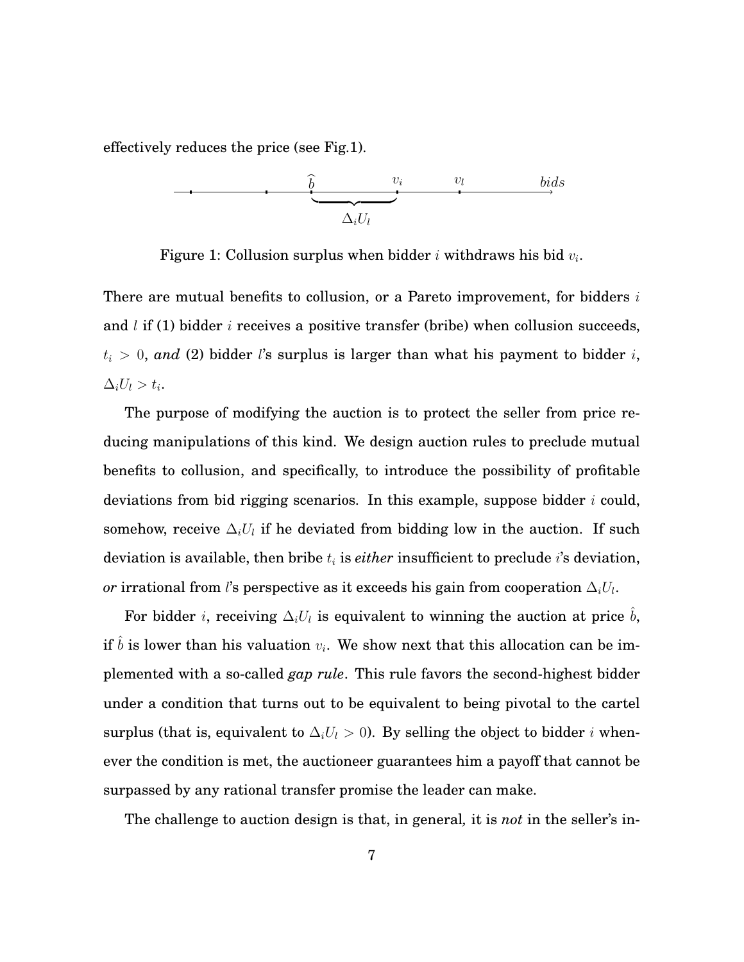effectively reduces the price (see Fig.1).



Figure 1: Collusion surplus when bidder  $i$  withdraws his bid  $v_i.$ 

There are mutual benefits to collusion, or a Pareto improvement, for bidders  $i$ and l if (1) bidder i receives a positive transfer (bribe) when collusion succeeds,  $t_i > 0$ , and (2) bidder l's surplus is larger than what his payment to bidder i,  $\Delta_i U_l > t_i.$ 

The purpose of modifying the auction is to protect the seller from price reducing manipulations of this kind. We design auction rules to preclude mutual benefits to collusion, and specifically, to introduce the possibility of profitable deviations from bid rigging scenarios. In this example, suppose bidder  $i$  could, somehow, receive  $\Delta_i U_i$  if he deviated from bidding low in the auction. If such deviation is available, then bribe  $t_i$  is  $\emph{either}$  insufficient to preclude  $i$ 's deviation,  $or$  irrational from  $l$ 's perspective as it exceeds his gain from cooperation  $\Delta_i U_l.$ 

For bidder *i*, receiving  $\Delta_i U_l$  is equivalent to winning the auction at price  $\hat{b}$ , if  $\hat{b}$  is lower than his valuation  $v_i$ . We show next that this allocation can be implemented with a so-called *gap rule*. This rule favors the second-highest bidder under a condition that turns out to be equivalent to being pivotal to the cartel surplus (that is, equivalent to  $\Delta_i U_l > 0$ ). By selling the object to bidder *i* whenever the condition is met, the auctioneer guarantees him a payoff that cannot be surpassed by any rational transfer promise the leader can make.

The challenge to auction design is that, in general*,* it is *not* in the seller's in-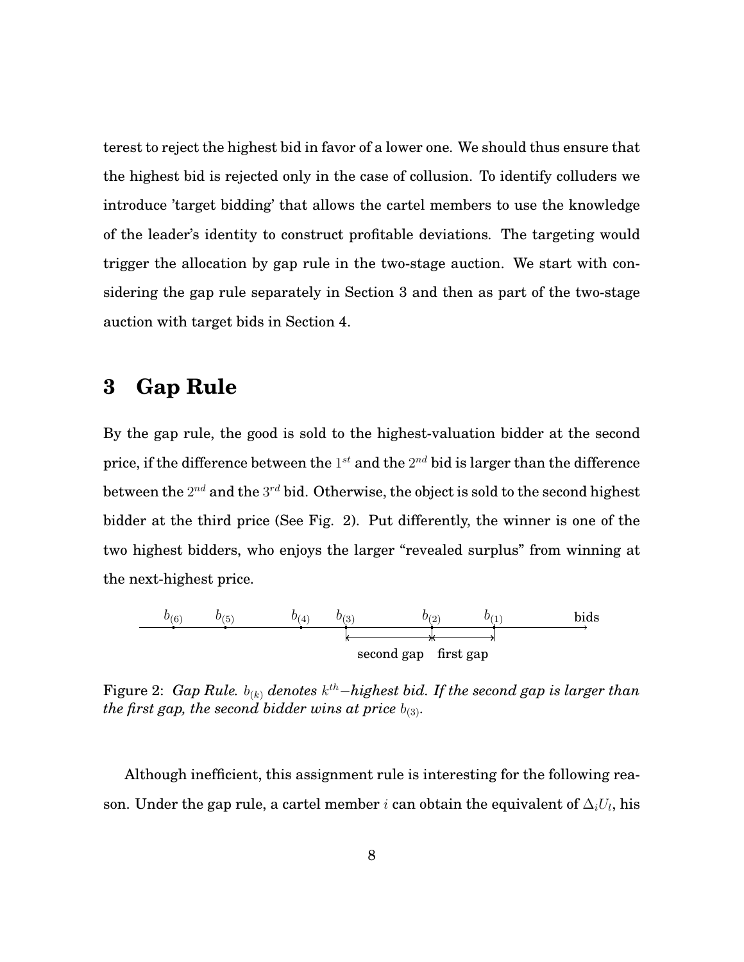terest to reject the highest bid in favor of a lower one. We should thus ensure that the highest bid is rejected only in the case of collusion. To identify colluders we introduce 'target bidding' that allows the cartel members to use the knowledge of the leader's identity to construct profitable deviations. The targeting would trigger the allocation by gap rule in the two-stage auction. We start with considering the gap rule separately in Section 3 and then as part of the two-stage auction with target bids in Section 4.

## **3 Gap Rule**

By the gap rule, the good is sold to the highest-valuation bidder at the second price, if the difference between the  $1^{st}$  and the  $2^{nd}$  bid is larger than the difference between the  $2^{nd}$  and the  $3^{rd}$  bid. Otherwise, the object is sold to the second highest bidder at the third price (See Fig. 2). Put differently, the winner is one of the two highest bidders, who enjoys the larger "revealed surplus" from winning at the next-highest price.



Figure 2: *Gap Rule.*  $b_{(k)}$  *denotes*  $k^{th}$ −highest bid. If the second gap is larger than *the first gap, the second bidder wins at price*  $b_{(3)}$ *.* 

Although inefficient, this assignment rule is interesting for the following reason. Under the gap rule, a cartel member  $i$  can obtain the equivalent of  $\Delta_i U_l,$  his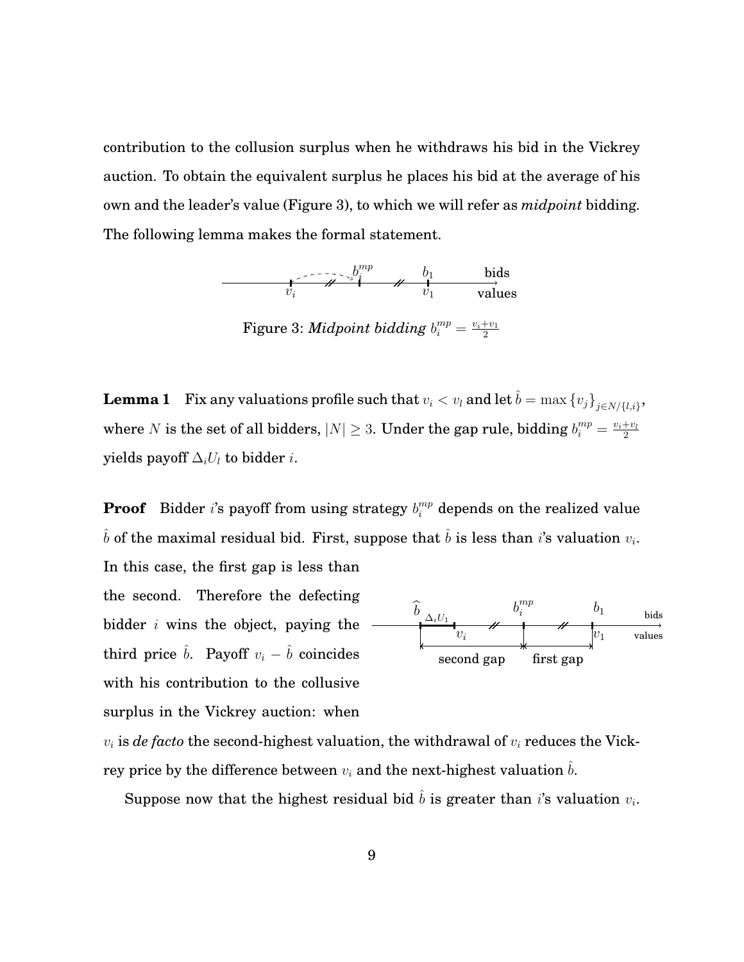contribution to the collusion surplus when he withdraws his bid in the Vickrey auction. To obtain the equivalent surplus he places his bid at the average of his own and the leader's value (Figure 3), to which we will refer as *midpoint* bidding. The following lemma makes the formal statement.



Figure 3: *Midpoint bidding*  $b_i^{mp} = \frac{v_i+v_1}{2}$ 2

<span id="page-10-0"></span> ${\bf Lemma ~1} \quad {\rm Fix ~any ~ valuations ~profile ~such ~that} ~v_i < v_l ~{\bf and ~let} ~\hat{b} = \max{\{v_j\}}_{j \in N / \{l, i\}},$ where N is the set of all bidders,  $|N| \geq 3$ . Under the gap rule, bidding  $b_i^{mp} = \frac{v_i + v_l}{2}$ 2 yields payoff  $\Delta_i U_l$  to bidder *i*.

**Proof** Bidder i's payoff from using strategy  $b_i^{mp}$  depends on the realized value  $\hat{b}$  of the maximal residual bid. First, suppose that  $\hat{b}$  is less than i's valuation  $v_i$ . In this case, the first gap is less than

the second. Therefore the defecting bidder  $i$  wins the object, paying the third price  $\hat{b}$ . Payoff  $v_i - \hat{b}$  coincides with his contribution to the collusive surplus in the Vickrey auction: when



 $v_i$  is *de facto* the second-highest valuation, the withdrawal of  $v_i$  reduces the Vickrey price by the difference between  $v_i$  and the next-highest valuation  $b$ .

Suppose now that the highest residual bid  $\hat{b}$  is greater than  $i$ 's valuation  $v_i$ .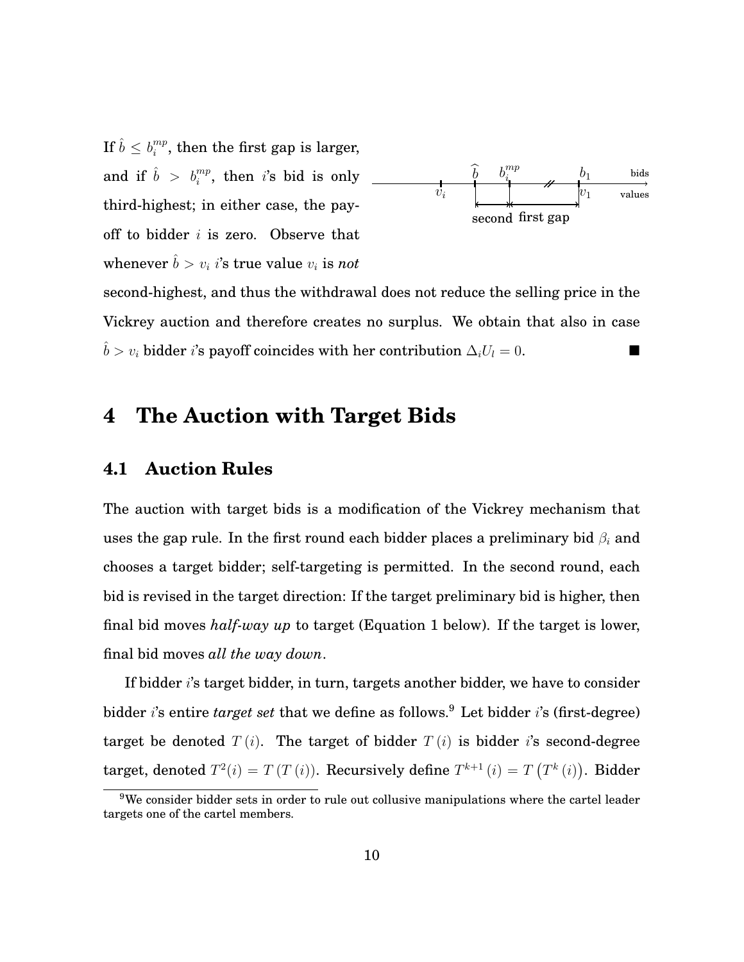If  $\hat{b} \leq b_i^{mp}$  $i^{mp}_{i}$ , then the first gap is larger, and if  $\hat{b} > b_i^{mp}$ , then i's bid is only third-highest; in either case, the payoff to bidder  $i$  is zero. Observe that whenever  $\hat{b} > v_i$  *i*'s true value  $v_i$  is *not* 



second-highest, and thus the withdrawal does not reduce the selling price in the Vickrey auction and therefore creates no surplus. We obtain that also in case  $\hat{b} > v_i$  bidder *i*'s payoff coincides with her contribution  $\Delta_i U_l = 0$ .

## **4 The Auction with Target Bids**

#### **4.1 Auction Rules**

The auction with target bids is a modification of the Vickrey mechanism that uses the gap rule. In the first round each bidder places a preliminary bid  $\beta_i$  and chooses a target bidder; self-targeting is permitted. In the second round, each bid is revised in the target direction: If the target preliminary bid is higher, then final bid moves *half-way up* to target (Equation [1](#page-12-0) below). If the target is lower, final bid moves *all the way down*.

If bidder i's target bidder, in turn, targets another bidder, we have to consider bidder *i*'s entire *target set* that we define as follows.<sup>[9](#page-11-0)</sup> Let bidder *i*'s (first-degree) target be denoted  $T(i)$ . The target of bidder  $T(i)$  is bidder is second-degree target, denoted  $T^2(i) = T(T(i))$ . Recursively define  $T^{k+1}(i) = T(T^k(i))$ . Bidder

<span id="page-11-0"></span><sup>&</sup>lt;sup>9</sup>We consider bidder sets in order to rule out collusive manipulations where the cartel leader targets one of the cartel members.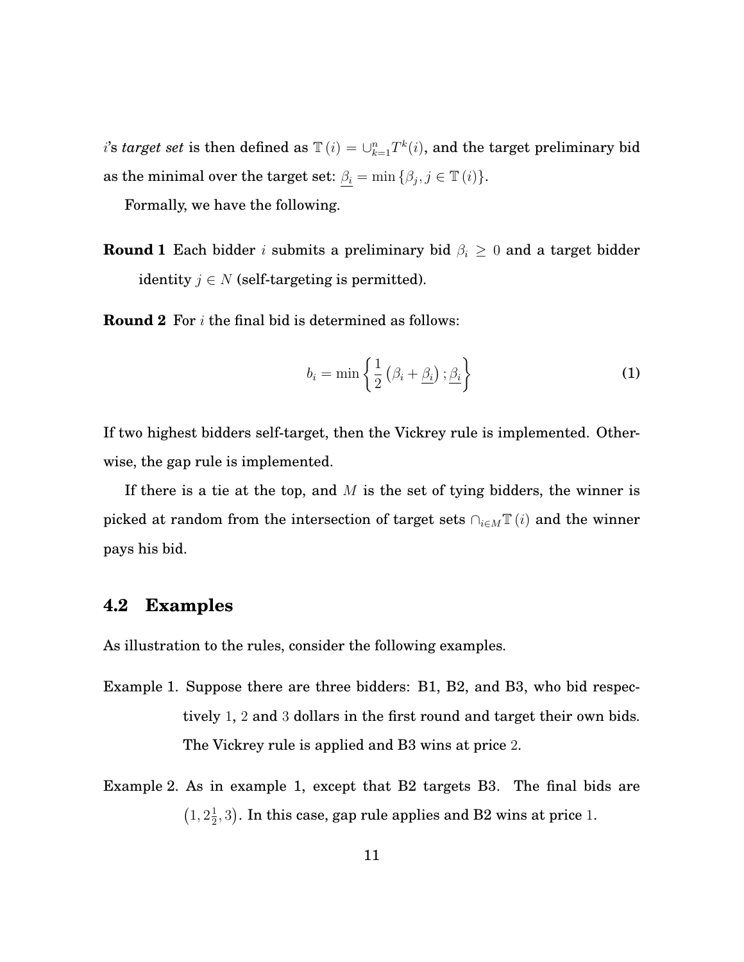*i*'s *target set* is then defined as  $\mathbb{T}(i) = \bigcup_{k=1}^{n} T^{k}(i)$ , and the target preliminary bid as the minimal over the target set:  $\beta_i = \min \{\beta_j, j \in \mathbb{T} \ (i) \}.$ 

Formally, we have the following.

**Round 1** Each bidder *i* submits a preliminary bid  $\beta_i \geq 0$  and a target bidder identity  $j \in N$  (self-targeting is permitted).

**Round 2** For i the final bid is determined as follows:

<span id="page-12-0"></span>
$$
b_i = \min\left\{\frac{1}{2}\left(\beta_i + \underline{\beta_i}\right); \underline{\beta_i}\right\} \tag{1}
$$

If two highest bidders self-target, then the Vickrey rule is implemented. Otherwise, the gap rule is implemented.

If there is a tie at the top, and  $M$  is the set of tying bidders, the winner is picked at random from the intersection of target sets  $\bigcap_{i\in M}\mathbb{T}(i)$  and the winner pays his bid.

#### **4.2 Examples**

As illustration to the rules, consider the following examples.

- Example 1. Suppose there are three bidders: B1, B2, and B3, who bid respectively 1, 2 and 3 dollars in the first round and target their own bids. The Vickrey rule is applied and B3 wins at price 2.
- Example 2. As in example 1, except that B2 targets B3. The final bids are  $(1, 2\frac{1}{2})$  $(\frac{1}{2},3)$ . In this case, gap rule applies and B2 wins at price 1.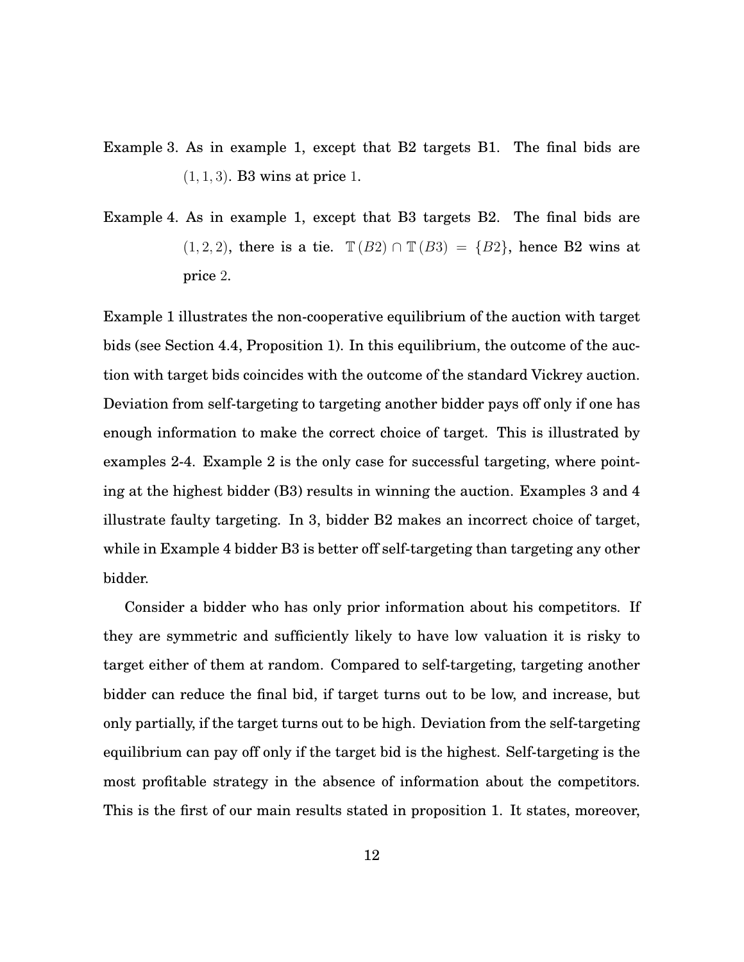- Example 3. As in example 1, except that B2 targets B1. The final bids are  $(1, 1, 3)$ . B3 wins at price 1.
- Example 4. As in example 1, except that B3 targets B2. The final bids are  $(1, 2, 2)$ , there is a tie.  $\mathbb{T}(B2) \cap \mathbb{T}(B3) = \{B2\}$ , hence B2 wins at price 2.

Example 1 illustrates the non-cooperative equilibrium of the auction with target bids (see Section 4.4, Proposition 1). In this equilibrium, the outcome of the auction with target bids coincides with the outcome of the standard Vickrey auction. Deviation from self-targeting to targeting another bidder pays off only if one has enough information to make the correct choice of target. This is illustrated by examples 2-4. Example 2 is the only case for successful targeting, where pointing at the highest bidder (B3) results in winning the auction. Examples 3 and 4 illustrate faulty targeting. In 3, bidder B2 makes an incorrect choice of target, while in Example 4 bidder B3 is better off self-targeting than targeting any other bidder.

Consider a bidder who has only prior information about his competitors. If they are symmetric and sufficiently likely to have low valuation it is risky to target either of them at random. Compared to self-targeting, targeting another bidder can reduce the final bid, if target turns out to be low, and increase, but only partially, if the target turns out to be high. Deviation from the self-targeting equilibrium can pay off only if the target bid is the highest. Self-targeting is the most profitable strategy in the absence of information about the competitors. This is the first of our main results stated in proposition 1. It states, moreover,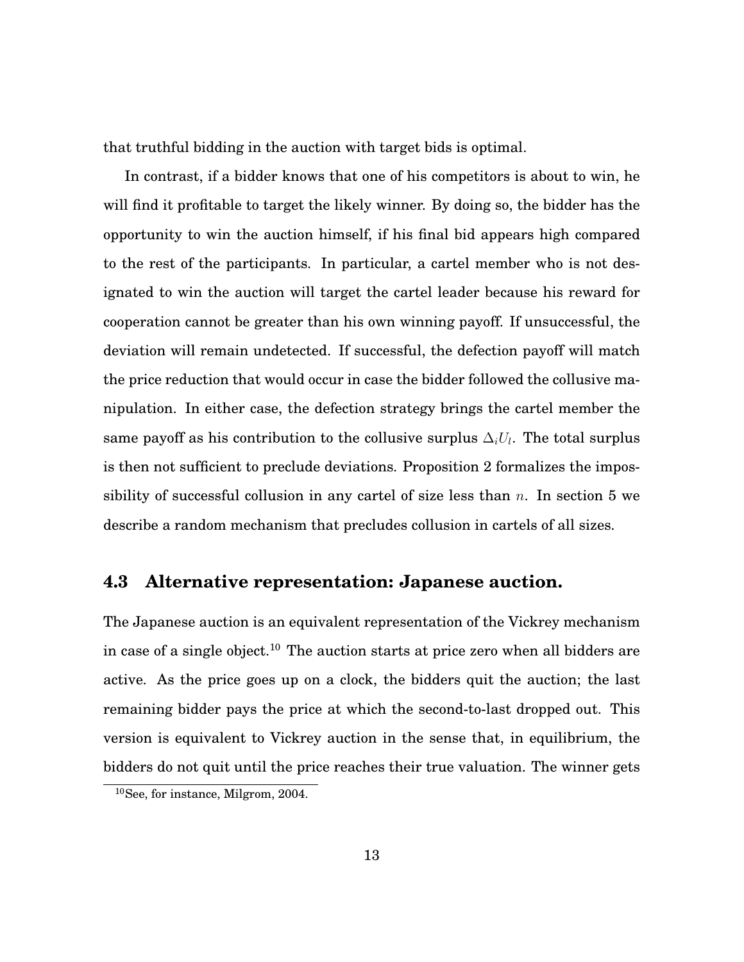that truthful bidding in the auction with target bids is optimal.

In contrast, if a bidder knows that one of his competitors is about to win, he will find it profitable to target the likely winner. By doing so, the bidder has the opportunity to win the auction himself, if his final bid appears high compared to the rest of the participants. In particular, a cartel member who is not designated to win the auction will target the cartel leader because his reward for cooperation cannot be greater than his own winning payoff. If unsuccessful, the deviation will remain undetected. If successful, the defection payoff will match the price reduction that would occur in case the bidder followed the collusive manipulation. In either case, the defection strategy brings the cartel member the same payoff as his contribution to the collusive surplus  $\Delta_i U_l$ . The total surplus is then not sufficient to preclude deviations. Proposition 2 formalizes the impossibility of successful collusion in any cartel of size less than  $n$ . In section 5 we describe a random mechanism that precludes collusion in cartels of all sizes.

#### **4.3 Alternative representation: Japanese auction.**

The Japanese auction is an equivalent representation of the Vickrey mechanism in case of a single object.<sup>[10](#page-14-0)</sup> The auction starts at price zero when all bidders are active. As the price goes up on a clock, the bidders quit the auction; the last remaining bidder pays the price at which the second-to-last dropped out. This version is equivalent to Vickrey auction in the sense that, in equilibrium, the bidders do not quit until the price reaches their true valuation. The winner gets

<span id="page-14-0"></span><sup>10</sup>See, for instance, Milgrom, 2004.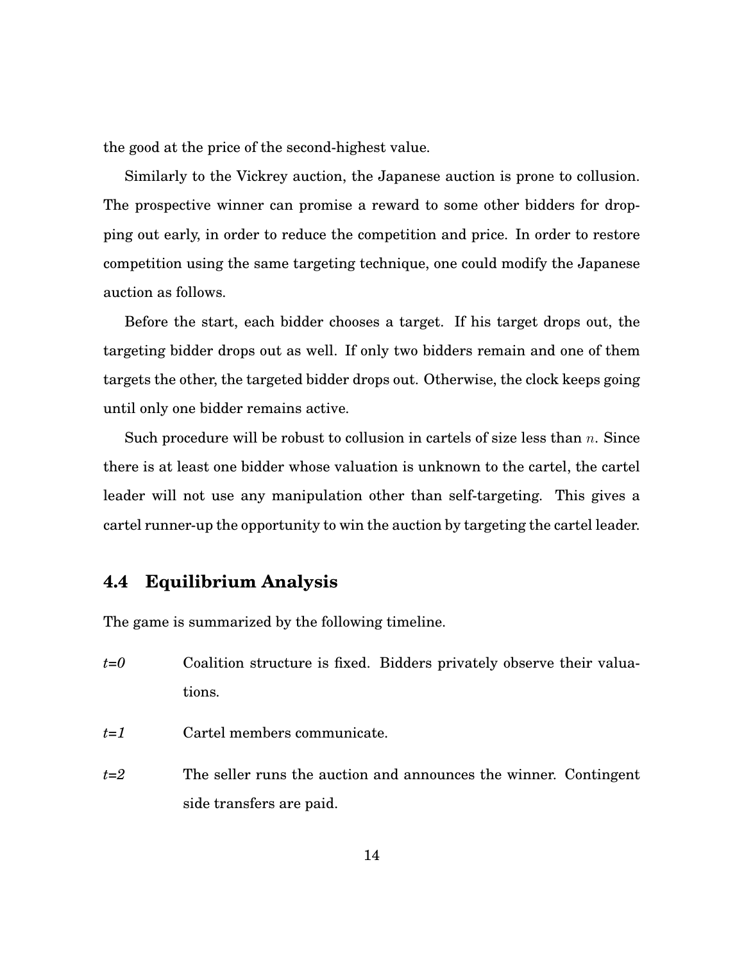the good at the price of the second-highest value.

Similarly to the Vickrey auction, the Japanese auction is prone to collusion. The prospective winner can promise a reward to some other bidders for dropping out early, in order to reduce the competition and price. In order to restore competition using the same targeting technique, one could modify the Japanese auction as follows.

Before the start, each bidder chooses a target. If his target drops out, the targeting bidder drops out as well. If only two bidders remain and one of them targets the other, the targeted bidder drops out. Otherwise, the clock keeps going until only one bidder remains active.

Such procedure will be robust to collusion in cartels of size less than  $n$ . Since there is at least one bidder whose valuation is unknown to the cartel, the cartel leader will not use any manipulation other than self-targeting. This gives a cartel runner-up the opportunity to win the auction by targeting the cartel leader.

#### **4.4 Equilibrium Analysis**

The game is summarized by the following timeline.

- *t=0* Coalition structure is fixed. Bidders privately observe their valuations.
- *t=1* Cartel members communicate.
- *t=2* The seller runs the auction and announces the winner. Contingent side transfers are paid.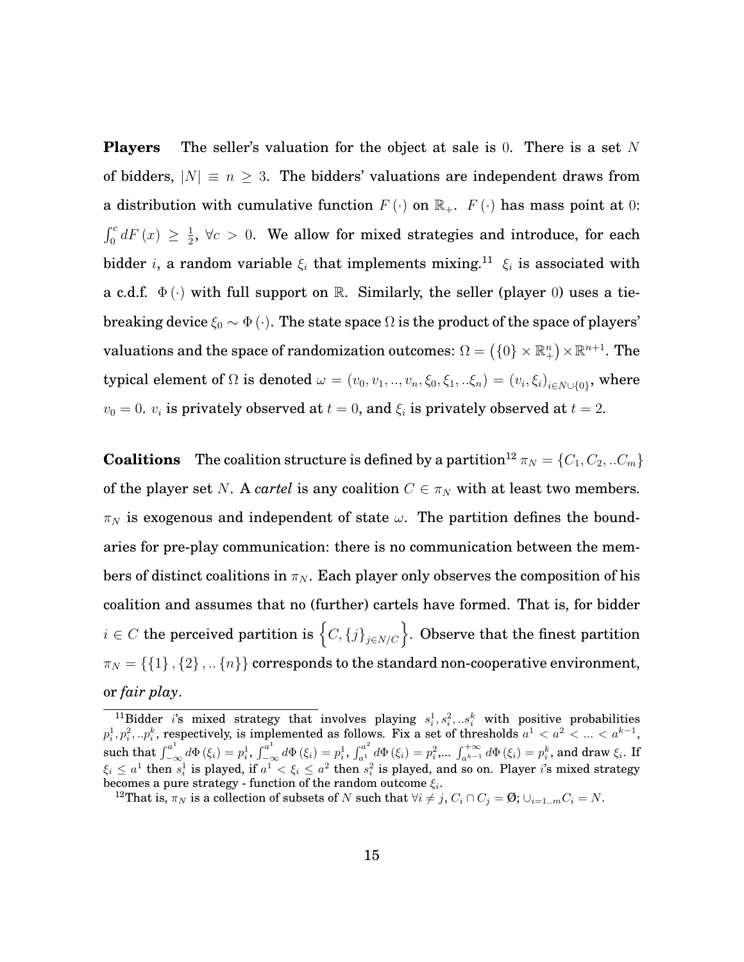**Players** The seller's valuation for the object at sale is 0. There is a set N of bidders,  $|N| \equiv n \geq 3$ . The bidders' valuations are independent draws from a distribution with cumulative function  $F(\cdot)$  on  $\mathbb{R}_+$ .  $F(\cdot)$  has mass point at 0:  $\int_0^c dF(x) \geq \frac{1}{2}$  $\frac{1}{2}$ ,  $\forall c > 0$ . We allow for mixed strategies and introduce, for each bidder *i*, a random variable  $\xi_i$  that implements mixing.<sup>[11](#page-16-0)</sup>  $\xi_i$  is associated with a c.d.f.  $\Phi(\cdot)$  with full support on R. Similarly, the seller (player 0) uses a tiebreaking device  $\xi_0 \sim \Phi(\cdot)$ . The state space  $\Omega$  is the product of the space of players' valuations and the space of randomization outcomes:  $\Omega = \left(\{0\} \times \mathbb{R}^n_+\right) \times \mathbb{R}^{n+1}.$  The typical element of  $\Omega$  is denoted  $\omega=(v_0,v_1,..,v_n,\xi_0,\xi_1,..\xi_n)=(v_i,\xi_i)_{i\in N\cup\{0\}},$  where  $v_0 = 0$ .  $v_i$  is privately observed at  $t = 0$ , and  $\xi_i$  is privately observed at  $t = 2$ .

**Coalitions** The coalition structure is defined by a partition<sup>[12](#page-16-1)</sup>  $\pi_N = \{C_1, C_2, ... C_m\}$ of the player set N. A *cartel* is any coalition  $C \in \pi_N$  with at least two members.  $\pi_N$  is exogenous and independent of state  $\omega$ . The partition defines the boundaries for pre-play communication: there is no communication between the members of distinct coalitions in  $\pi_N$ . Each player only observes the composition of his coalition and assumes that no (further) cartels have formed. That is, for bidder  $i\in C$  the perceived partition is  $\left\{ C, \left\{ j \right\}_{j\in N/C} \right\}$ . Observe that the finest partition  $\pi_N = \{\{1\}$ ,  $\{2\}$ , ...  $\{n\}$  corresponds to the standard non-cooperative environment, or *fair play*.

<span id="page-16-0"></span><sup>&</sup>lt;sup>11</sup>Bidder *i*'s mixed strategy that involves playing  $s_i^1, s_i^2, ... s_i^k$  with positive probabilities  $p_i^1, p_i^2,..p_i^k,$  respectively, is implemented as follows. Fix a set of thresholds  $a^1 < a^2 < ... < a^{k-1},$ such that  $\int_{-\infty}^{a^1} d\Phi(\xi_i) = p_i^1$ ,  $\int_{-\infty}^{a^1} d\Phi(\xi_i) = p_i^1$ ,  $\int_{a^1}^{a^2} d\Phi(\xi_i) = p_i^2$ ,...  $\int_{a^{k-1}}^{+\infty} d\Phi(\xi_i) = p_i^k$ , and draw  $\xi_i$ . If  $\xi_i\leq a^1$  then  $s^1_i$  is played, if  $a^1<\xi_i\leq a^2$  then  $s^2_i$  is played, and so on. Player  $i$ 's mixed strategy becomes a pure strategy - function of the random outcome  $\xi_i.$ 

<span id="page-16-1"></span><sup>&</sup>lt;sup>12</sup>That is,  $\pi_N$  is a collection of subsets of N such that  $\forall i \neq j$ ,  $C_i \cap C_j = \emptyset$ ;  $\cup_{i=1..m} C_i = N$ .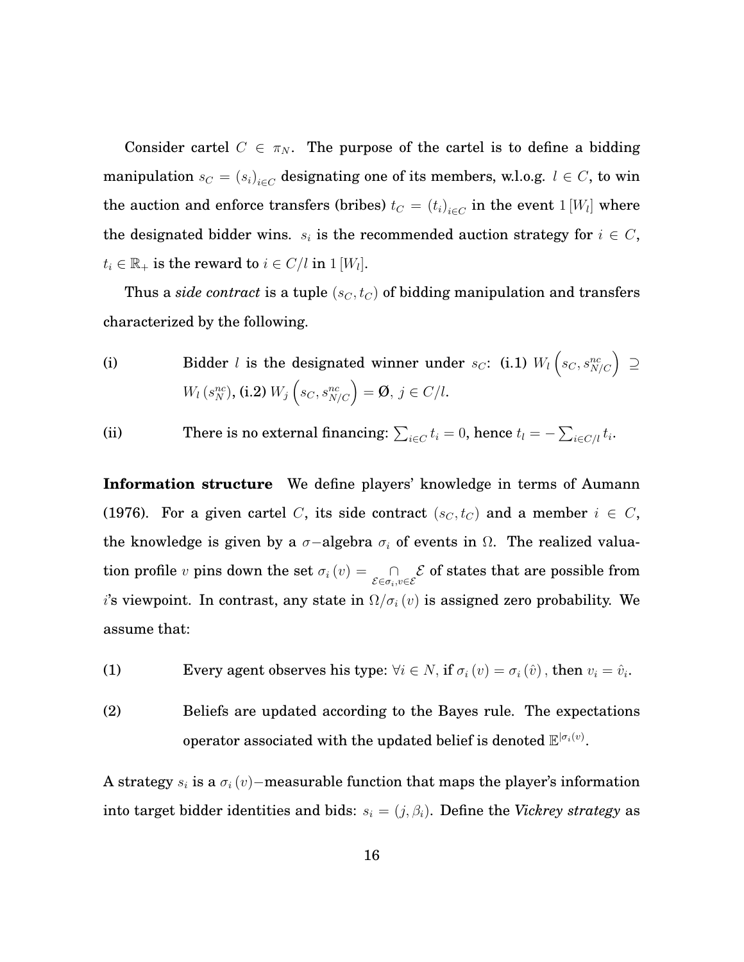Consider cartel  $C \in \pi_N$ . The purpose of the cartel is to define a bidding manipulation  $s_C = \left( s_i \right)_{i \in C}$  designating one of its members, w.l.o.g.  $l \in C,$  to win the auction and enforce transfers (bribes)  $t_C = (t_i)_{i \in C}$  in the event  $1$  [W<sub>l</sub>] where the designated bidder wins.  $s_i$  is the recommended auction strategy for  $i \in C$ ,  $t_i \in \mathbb{R}_+$  is the reward to  $i \in C/l$  in  $1[W_l]$ .

Thus a *side contract* is a tuple  $(s_C, t_C)$  of bidding manipulation and transfers characterized by the following.

(i) Bidder *l* is the designated winner under 
$$
s_C
$$
: (i.1)  $W_l$   $\left(s_C, s_{N/C}^{nc}\right) \supseteq$   
\n $W_l(s_N^{nc}),$  (i.2)  $W_j$   $\left(s_C, s_{N/C}^{nc}\right) = \emptyset$ ,  $j \in C/l$ .

(ii) There is no external financing:  $\sum_{i \in C} t_i = 0$ , hence  $t_l = -\sum_{i \in C/l} t_i$ .

**Information structure** We define players' knowledge in terms of Aumann (1976). For a given cartel C, its side contract  $(s_C, t_C)$  and a member  $i \in C$ , the knowledge is given by a  $\sigma$ -algebra  $\sigma_i$  of events in  $\Omega$ . The realized valuation profile  $v$  pins down the set  $\sigma_i(v) = \bigcap_{\mathcal{E} \in \sigma_i, v \in \mathcal{E}} \mathcal{E}$  of states that are possible from i's viewpoint. In contrast, any state in  $\Omega/\sigma_i(v)$  is assigned zero probability. We assume that:

(1) Every agent observes his type:  $\forall i \in N$ , if  $\sigma_i(v) = \sigma_i(\hat{v})$ , then  $v_i = \hat{v}_i$ .

(2) Beliefs are updated according to the Bayes rule. The expectations operator associated with the updated belief is denoted  $\mathbb{E}^{|\sigma_i(v)|}$ .

A strategy  $s_i$  is a  $\sigma_i(v)$ −measurable function that maps the player's information into target bidder identities and bids:  $s_i = (j, \beta_i)$ . Define the *Vickrey strategy* as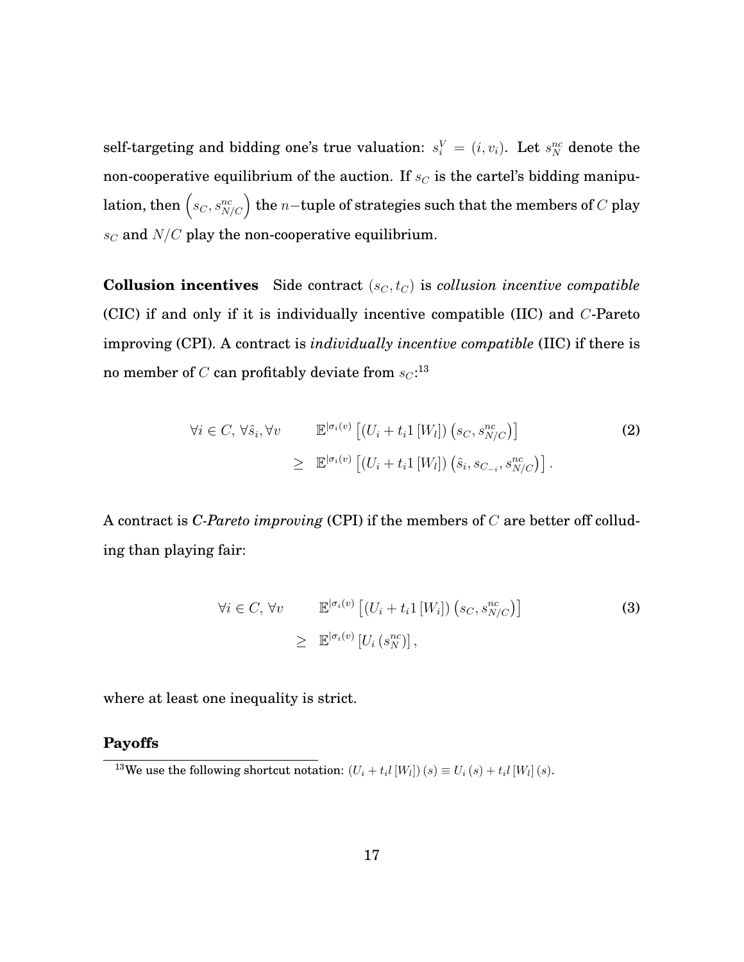self-targeting and bidding one's true valuation:  $s_i^V = (i, v_i)$ . Let  $s_N^{nc}$  denote the non-cooperative equilibrium of the auction. If  $s_C$  is the cartel's bidding manipulation, then  $\left( s_C, s^{nc}_{N/C} \right)$  the  $n-$ tuple of strategies such that the members of  $C$  play  $s_C$  and  $N/C$  play the non-cooperative equilibrium.

<span id="page-18-3"></span>**Collusion incentives** Side contract  $(s_C, t_C)$  is *collusion incentive compatible* (CIC) if and only if it is individually incentive compatible (IIC) and C-Pareto improving (CPI). A contract is *individually incentive compatible* (IIC) if there is no member of  $C$  can profitably deviate from  $\mathit{sc} \mathord{\cdot}^{13}$  $\mathit{sc} \mathord{\cdot}^{13}$  $\mathit{sc} \mathord{\cdot}^{13}$ 

<span id="page-18-1"></span>
$$
\forall i \in C, \forall \hat{s}_i, \forall v \qquad \mathbb{E}^{|\sigma_i(v)} \left[ (U_i + t_i 1 \left[ W_l \right]) \left( s_C, s^{\text{nc}}_{N/C} \right) \right] \qquad (2)
$$

$$
\geq \mathbb{E}^{|\sigma_i(v)} \left[ (U_i + t_i 1 \left[ W_l \right]) \left( \hat{s}_i, s_{C_{-i}}, s^{\text{nc}}_{N/C} \right) \right].
$$

A contract is *C-Pareto improving* (CPI) if the members of C are better off colluding than playing fair:

<span id="page-18-2"></span>
$$
\forall i \in C, \forall v \qquad \mathbb{E}^{|\sigma_i(v)} \left[ (U_i + t_i 1 \left[ W_i \right]) \left( s_C, s_{N/C}^{nc} \right) \right] \qquad (3)
$$

$$
\geq \mathbb{E}^{|\sigma_i(v)} \left[ U_i \left( s_N^{nc} \right) \right],
$$

where at least one inequality is strict.

#### **Payoffs**

<span id="page-18-0"></span><sup>&</sup>lt;sup>13</sup>We use the following shortcut notation:  $(U_i + t_i I[W_l])(s) \equiv U_i(s) + t_i I[W_l](s)$ .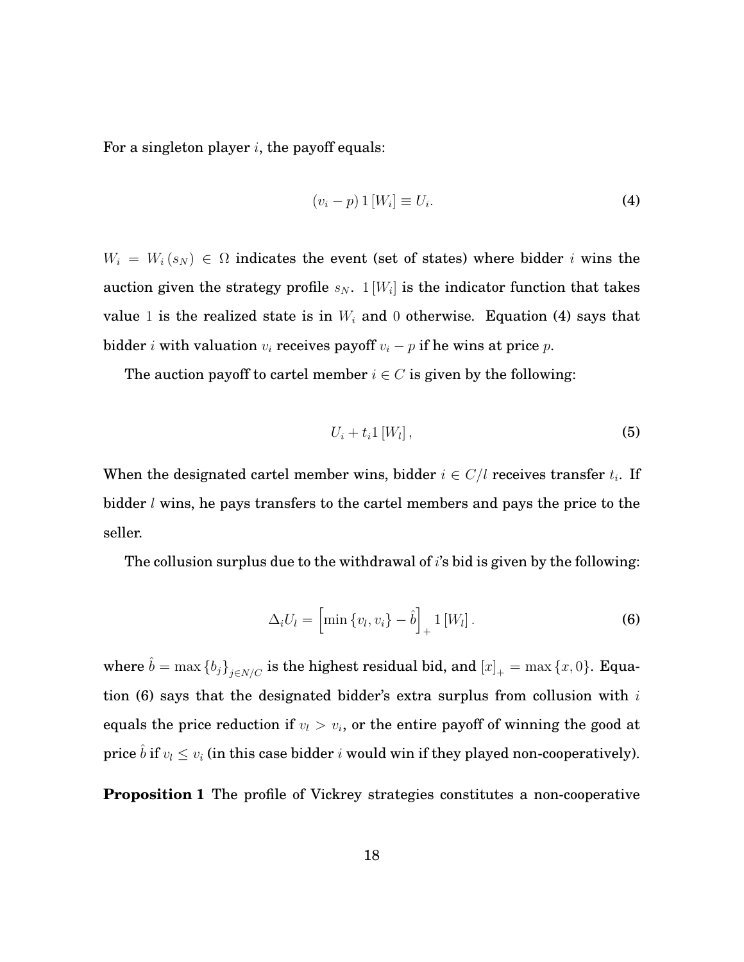For a singleton player  $i$ , the payoff equals:

$$
(v_i - p) 1 [W_i] \equiv U_i. \tag{4}
$$

 $W_i = W_i(s_N) \in \Omega$  indicates the event (set of states) where bidder i wins the auction given the strategy profile  $s_N$ .  $1[W_i]$  is the indicator function that takes value 1 is the realized state is in  $W_i$  and 0 otherwise. Equation (4) says that bidder *i* with valuation  $v_i$  receives payoff  $v_i - p$  if he wins at price p.

The auction payoff to cartel member  $i \in C$  is given by the following:

$$
U_i + t_i 1 \left[ W_l \right], \tag{5}
$$

When the designated cartel member wins, bidder  $i \in C/l$  receives transfer  $t_i$ . If bidder  $l$  wins, he pays transfers to the cartel members and pays the price to the seller.

The collusion surplus due to the withdrawal of  $i$ 's bid is given by the following:

<span id="page-19-0"></span>
$$
\Delta_i U_l = \left[ \min \left\{ v_l, v_i \right\} - \hat{b} \right]_+ 1 \left[ W_l \right]. \tag{6}
$$

where  $\hat{b} = \max \{b_j\}_{j \in N/C}$  is the highest residual bid, and  $[x]_+ = \max \{x, 0\}$ . Equa-tion [\(6\)](#page-19-0) says that the designated bidder's extra surplus from collusion with  $i$ equals the price reduction if  $v_l > v_i$ , or the entire payoff of winning the good at price  $\hat{b}$  if  $v_l \leq v_i$  (in this case bidder i would win if they played non-cooperatively).

**Proposition 1** The profile of Vickrey strategies constitutes a non-cooperative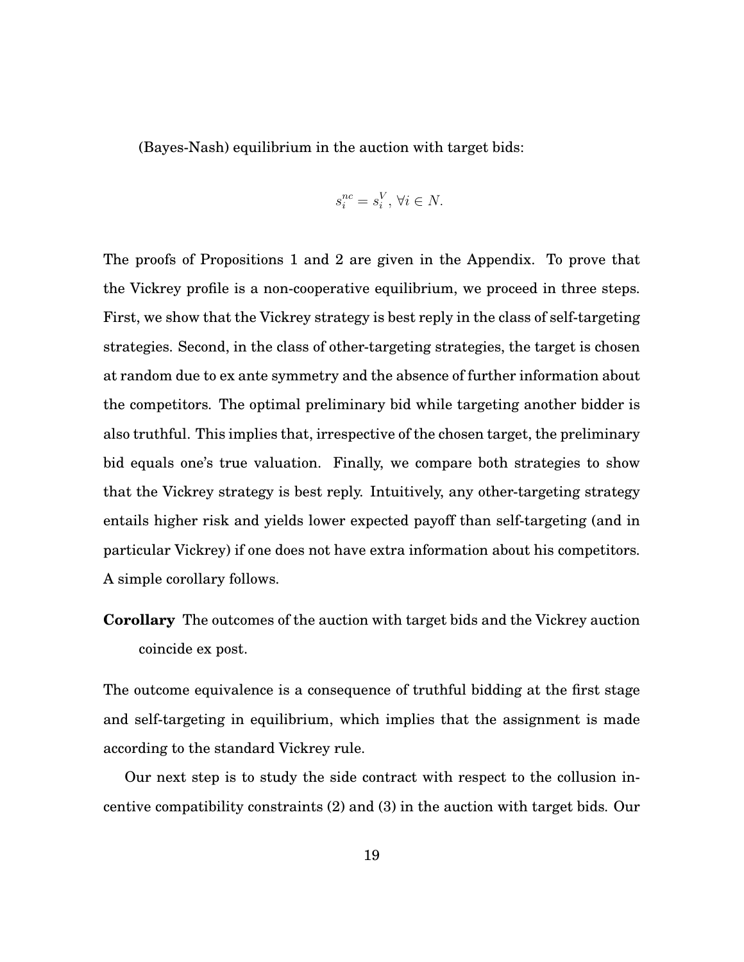(Bayes-Nash) equilibrium in the auction with target bids:

$$
s_i^{nc} = s_i^V, \,\forall i \in N.
$$

The proofs of Propositions 1 and 2 are given in the [Appendix.](#page-24-0) To prove that the Vickrey profile is a non-cooperative equilibrium, we proceed in three steps. First, we show that the Vickrey strategy is best reply in the class of self-targeting strategies. Second, in the class of other-targeting strategies, the target is chosen at random due to ex ante symmetry and the absence of further information about the competitors. The optimal preliminary bid while targeting another bidder is also truthful. This implies that, irrespective of the chosen target, the preliminary bid equals one's true valuation. Finally, we compare both strategies to show that the Vickrey strategy is best reply. Intuitively, any other-targeting strategy entails higher risk and yields lower expected payoff than self-targeting (and in particular Vickrey) if one does not have extra information about his competitors. A simple corollary follows.

**Corollary** The outcomes of the auction with target bids and the Vickrey auction coincide ex post.

The outcome equivalence is a consequence of truthful bidding at the first stage and self-targeting in equilibrium, which implies that the assignment is made according to the standard Vickrey rule.

Our next step is to study the side contract with respect to the collusion incentive compatibility constraints [\(2\)](#page-18-1) and [\(3\)](#page-18-2) in the auction with target bids. Our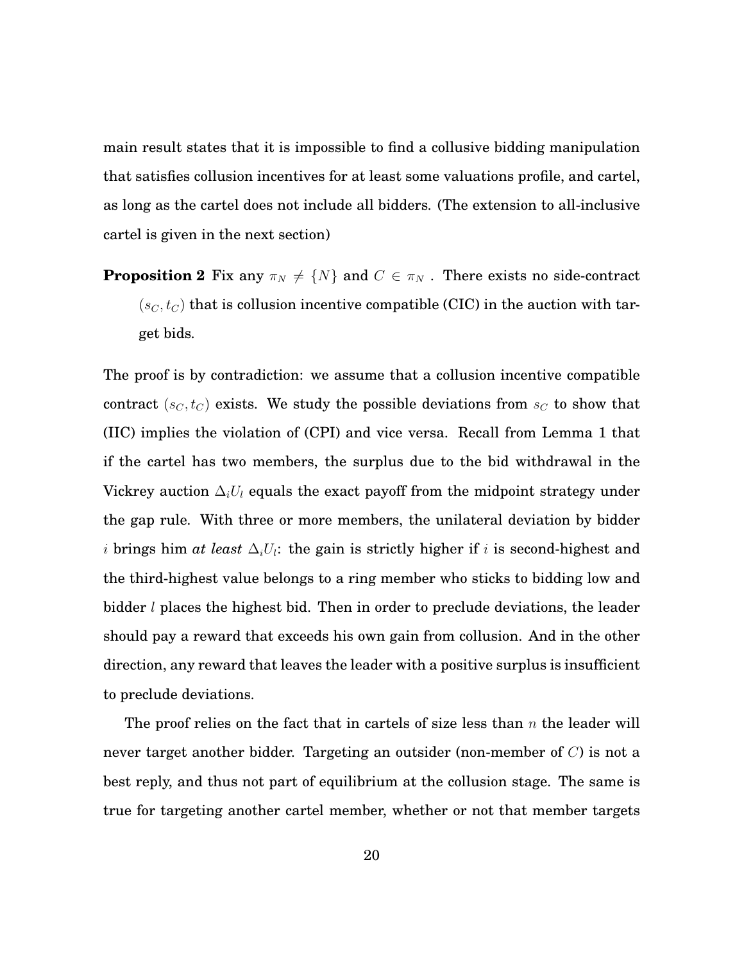main result states that it is impossible to find a collusive bidding manipulation that satisfies collusion incentives for at least some valuations profile, and cartel, as long as the cartel does not include all bidders. (The extension to all-inclusive cartel is given in the next section)

**Proposition 2** Fix any  $\pi_N \neq \{N\}$  and  $C \in \pi_N$ . There exists no side-contract  $(s_C, t_C)$  that is collusion incentive compatible (CIC) in the auction with target bids.

The proof is by contradiction: we assume that a collusion incentive compatible contract  $(s_C, t_C)$  exists. We study the possible deviations from  $s_C$  to show that (IIC) implies the violation of (CPI) and vice versa. Recall from [Lemma 1](#page-10-0) that if the cartel has two members, the surplus due to the bid withdrawal in the Vickrey auction  $\Delta_i U_l$  equals the exact payoff from the midpoint strategy under the gap rule. With three or more members, the unilateral deviation by bidder  $i$  brings him *at least*  $\Delta_i U_i$ : the gain is strictly higher if  $i$  is second-highest and the third-highest value belongs to a ring member who sticks to bidding low and bidder *l* places the highest bid. Then in order to preclude deviations, the leader should pay a reward that exceeds his own gain from collusion. And in the other direction, any reward that leaves the leader with a positive surplus is insufficient to preclude deviations.

The proof relies on the fact that in cartels of size less than  $n$  the leader will never target another bidder. Targeting an outsider (non-member of  $C$ ) is not a best reply, and thus not part of equilibrium at the collusion stage. The same is true for targeting another cartel member, whether or not that member targets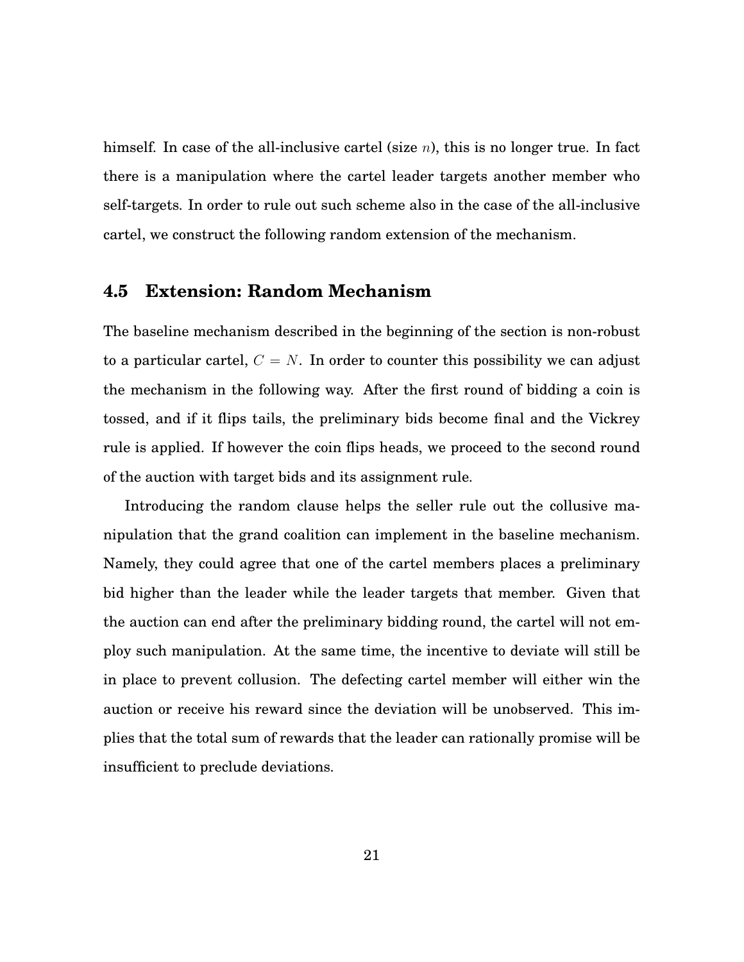himself. In case of the all-inclusive cartel (size  $n$ ), this is no longer true. In fact there is a manipulation where the cartel leader targets another member who self-targets. In order to rule out such scheme also in the case of the all-inclusive cartel, we construct the following random extension of the mechanism.

#### **4.5 Extension: Random Mechanism**

The baseline mechanism described in the beginning of the section is non-robust to a particular cartel,  $C = N$ . In order to counter this possibility we can adjust the mechanism in the following way. After the first round of bidding a coin is tossed, and if it flips tails, the preliminary bids become final and the Vickrey rule is applied. If however the coin flips heads, we proceed to the second round of the auction with target bids and its assignment rule.

Introducing the random clause helps the seller rule out the collusive manipulation that the grand coalition can implement in the baseline mechanism. Namely, they could agree that one of the cartel members places a preliminary bid higher than the leader while the leader targets that member. Given that the auction can end after the preliminary bidding round, the cartel will not employ such manipulation. At the same time, the incentive to deviate will still be in place to prevent collusion. The defecting cartel member will either win the auction or receive his reward since the deviation will be unobserved. This implies that the total sum of rewards that the leader can rationally promise will be insufficient to preclude deviations.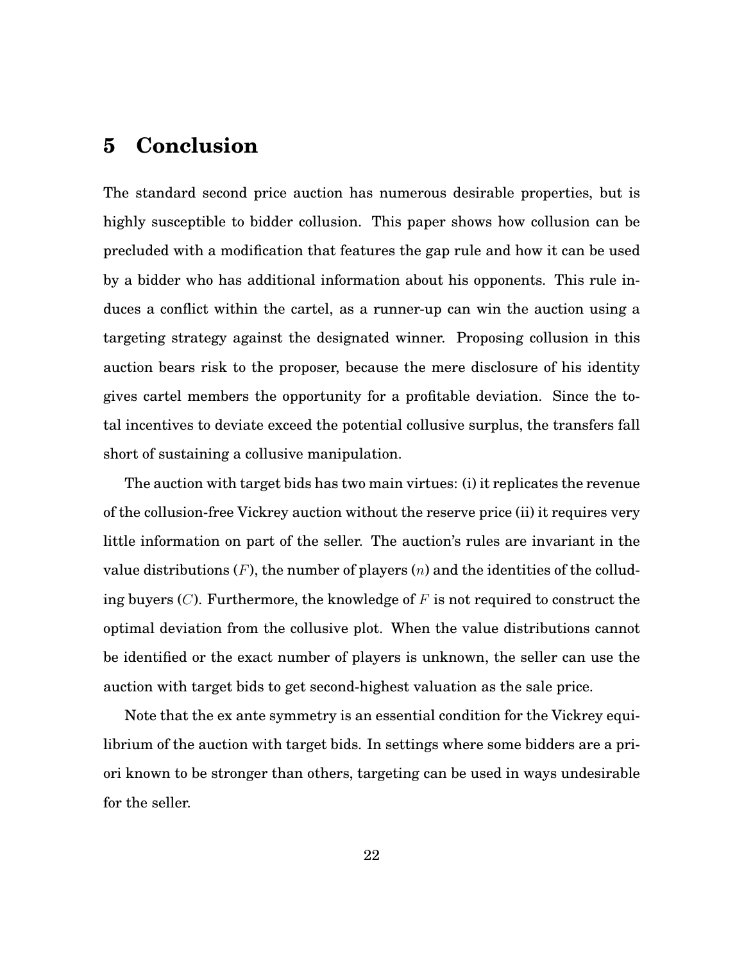### **5 Conclusion**

The standard second price auction has numerous desirable properties, but is highly susceptible to bidder collusion. This paper shows how collusion can be precluded with a modification that features the gap rule and how it can be used by a bidder who has additional information about his opponents. This rule induces a conflict within the cartel, as a runner-up can win the auction using a targeting strategy against the designated winner. Proposing collusion in this auction bears risk to the proposer, because the mere disclosure of his identity gives cartel members the opportunity for a profitable deviation. Since the total incentives to deviate exceed the potential collusive surplus, the transfers fall short of sustaining a collusive manipulation.

The auction with target bids has two main virtues: (i) it replicates the revenue of the collusion-free Vickrey auction without the reserve price (ii) it requires very little information on part of the seller. The auction's rules are invariant in the value distributions  $(F)$ , the number of players  $(n)$  and the identities of the colluding buyers  $(C)$ . Furthermore, the knowledge of F is not required to construct the optimal deviation from the collusive plot. When the value distributions cannot be identified or the exact number of players is unknown, the seller can use the auction with target bids to get second-highest valuation as the sale price.

Note that the ex ante symmetry is an essential condition for the Vickrey equilibrium of the auction with target bids. In settings where some bidders are a priori known to be stronger than others, targeting can be used in ways undesirable for the seller.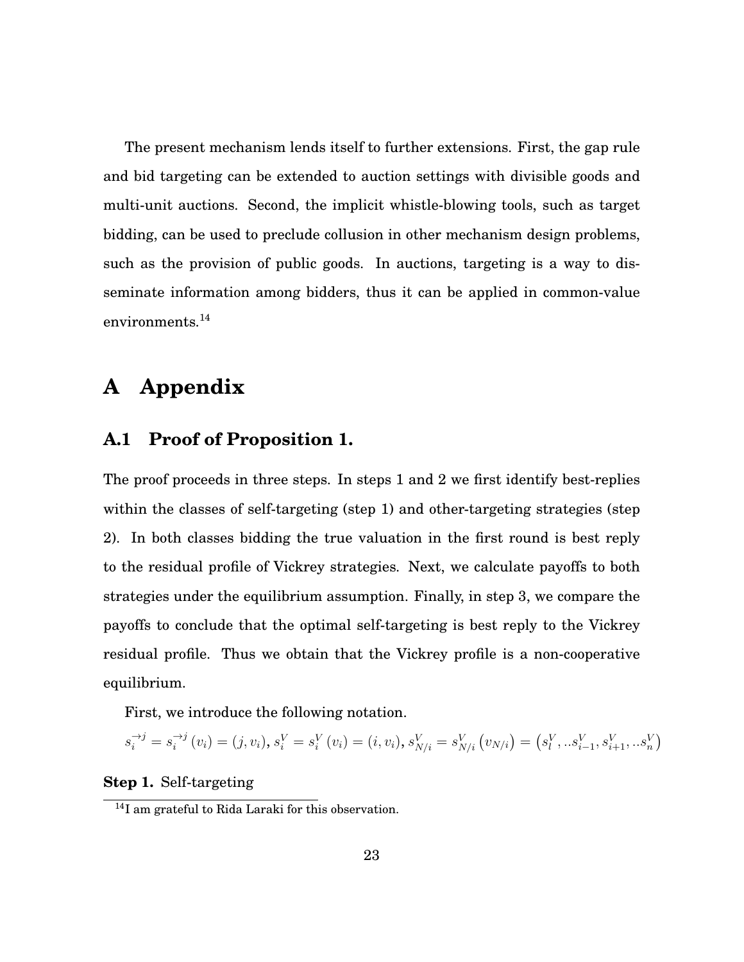The present mechanism lends itself to further extensions. First, the gap rule and bid targeting can be extended to auction settings with divisible goods and multi-unit auctions. Second, the implicit whistle-blowing tools, such as target bidding, can be used to preclude collusion in other mechanism design problems, such as the provision of public goods. In auctions, targeting is a way to disseminate information among bidders, thus it can be applied in common-value environments.<sup>[14](#page-24-1)</sup>

## <span id="page-24-0"></span>**A Appendix**

#### **A.1 Proof of Proposition 1.**

The proof proceeds in three steps. In steps 1 and 2 we first identify best-replies within the classes of self-targeting (step 1) and other-targeting strategies (step 2). In both classes bidding the true valuation in the first round is best reply to the residual profile of Vickrey strategies. Next, we calculate payoffs to both strategies under the equilibrium assumption. Finally, in step 3, we compare the payoffs to conclude that the optimal self-targeting is best reply to the Vickrey residual profile. Thus we obtain that the Vickrey profile is a non-cooperative equilibrium.

First, we introduce the following notation.

$$
s_i^{\rightarrow j} = s_i^{\rightarrow j} (v_i) = (j, v_i), s_i^V = s_i^V (v_i) = (i, v_i), s_{N/i}^V = s_{N/i}^V (v_{N/i}) = (s_i^V, \dots s_{i-1}^V, s_{i+1}^V, \dots s_n^V)
$$

#### **Step 1.** Self-targeting

<span id="page-24-1"></span><sup>14</sup>I am grateful to Rida Laraki for this observation.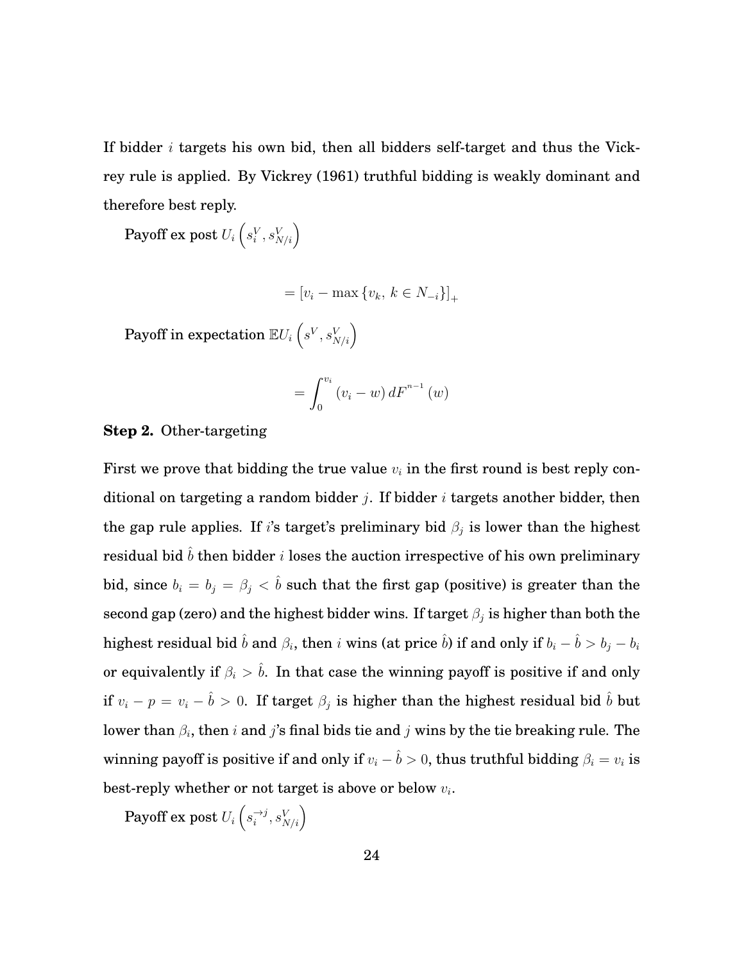If bidder  $i$  targets his own bid, then all bidders self-target and thus the Vickrey rule is applied. By Vickrey (1961) truthful bidding is weakly dominant and therefore best reply.

 $\text{Payoff ex post } U_i\left(s_i^V,s_{N/i}^V\right)$ 

$$
= [v_i - \max\{v_k, \, k \in N_{-i}\} ]_+
$$

 $\text{Payoff in expectation } \mathbb{E} U_i \left( s^V, s^V_{N/i} \right)$ 

$$
= \int_0^{v_i} (v_i - w) dF^{n-1} (w)
$$

#### **Step 2.** Other-targeting

First we prove that bidding the true value  $v_i$  in the first round is best reply conditional on targeting a random bidder j. If bidder i targets another bidder, then the gap rule applies. If i's target's preliminary bid  $\beta_i$  is lower than the highest residual bid  $\hat{b}$  then bidder *i* loses the auction irrespective of his own preliminary bid, since  $b_i = b_j = \beta_j < \hat{b}$  such that the first gap (positive) is greater than the second gap (zero) and the highest bidder wins. If target  $\beta_j$  is higher than both the highest residual bid  $\hat{b}$  and  $\beta_i$ , then  $i$  wins (at price  $\hat{b}$ ) if and only if  $b_i-\hat{b}>b_j-b_i$ or equivalently if  $\beta_i > \hat{b}$ . In that case the winning payoff is positive if and only if  $v_i - p = v_i - \hat{b} > 0$ . If target  $\beta_j$  is higher than the highest residual bid  $\hat{b}$  but lower than  $\beta_i,$  then  $i$  and  $j$ 's final bids tie and  $j$  wins by the tie breaking rule. The winning payoff is positive if and only if  $v_i - \hat{b} > 0$ , thus truthful bidding  $\beta_i = v_i$  is best-reply whether or not target is above or below  $v_i$ .

 $\operatorname{Payoff}$  ex post  $U_i \left( s_i^{\rightarrow j} \right)$  $\overrightarrow{i}$ ,  $s_{N/i}^V$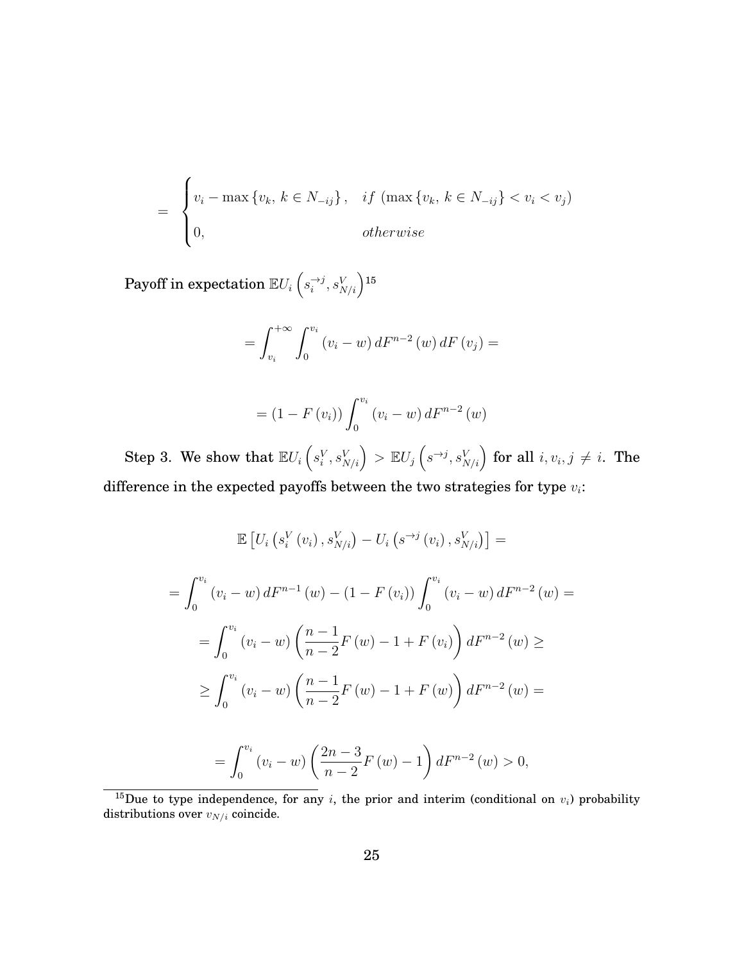$$
= \begin{cases} v_i - \max\{v_k, k \in N_{-ij}\}, & if \left(\max\{v_k, k \in N_{-ij}\} < v_i < v_j\right) \\ 0, & otherwise \end{cases}
$$

 $\text{Payoff in expectation } \mathbb{E} U_i \left( s_i^{\rightarrow j} \right)$  $\left( \begin{matrix} -i\, 0 & S_{N/i} \end{matrix} \right)$ [15](#page-26-0)

$$
= \int_{v_i}^{+\infty} \int_0^{v_i} (v_i - w) dF^{n-2} (w) dF (v_j) =
$$

$$
= (1 - F(v_i)) \int_0^{v_i} (v_i - w) dF^{n-2}(w)
$$

Step 3. We show that  $\mathbb{E} U_i\left(s^V_i,s^V_{N/i}\right) > \mathbb{E} U_j\left(s^{\rightarrow j},s^V_{N/i}\right)$  for all  $i, v_i, j \neq i$ . The difference in the expected payoffs between the two strategies for type  $v_i$ :

$$
\mathbb{E}\left[U_i\left(s_i^V\left(v_i\right), s_{N/i}^V\right) - U_i\left(s^{-\frac{1}{2}}\left(v_i\right), s_{N/i}^V\right)\right] =
$$
\n
$$
= \int_0^{v_i} \left(v_i - w\right) dF^{n-1}\left(w\right) - \left(1 - F\left(v_i\right)\right) \int_0^{v_i} \left(v_i - w\right) dF^{n-2}\left(w\right) =
$$
\n
$$
= \int_0^{v_i} \left(v_i - w\right) \left(\frac{n-1}{n-2} F\left(w\right) - 1 + F\left(v_i\right)\right) dF^{n-2}\left(w\right) \ge
$$
\n
$$
\ge \int_0^{v_i} \left(v_i - w\right) \left(\frac{n-1}{n-2} F\left(w\right) - 1 + F\left(w\right)\right) dF^{n-2}\left(w\right) =
$$
\n
$$
= \int_0^{v_i} \left(v_i - w\right) \left(\frac{2n-3}{n-2} F\left(w\right) - 1\right) dF^{n-2}\left(w\right) > 0,
$$

<span id="page-26-0"></span><sup>&</sup>lt;sup>15</sup>Due to type independence, for any *i*, the prior and interim (conditional on  $v_i$ ) probability distributions over  $v_{N/i}$  coincide.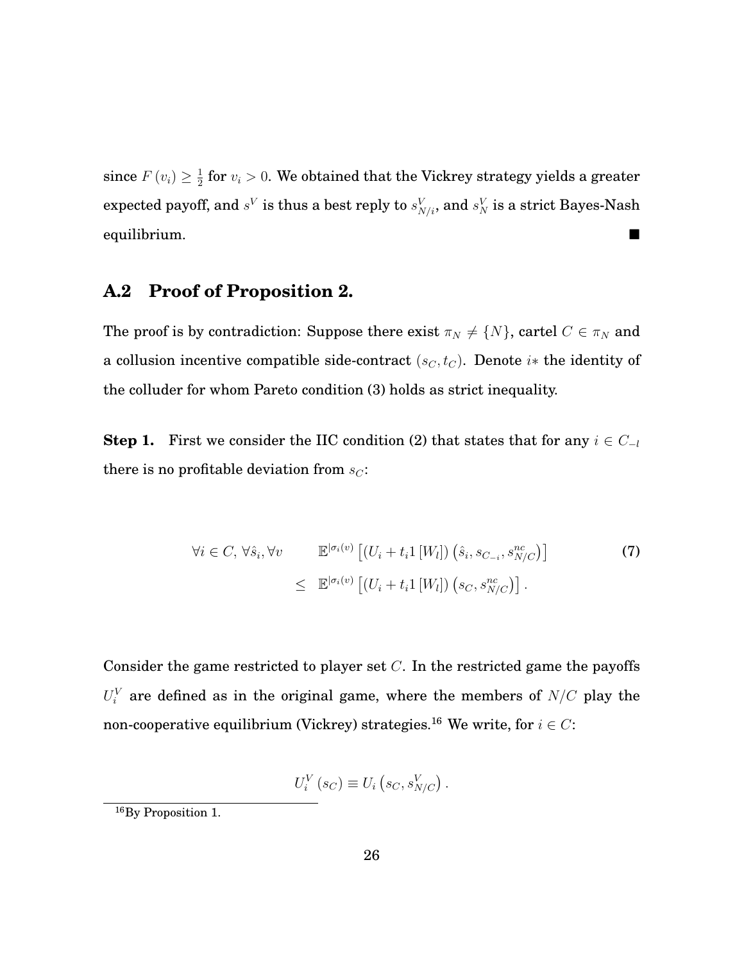since  $F(v_i) \geq \frac{1}{2}$  $\frac{1}{2}$  for  $v_i > 0$ . We obtained that the Vickrey strategy yields a greater expected payoff, and  $s^V$  is thus a best reply to  $s^V_{N/i}$ , and  $s^V_N$  is a strict Bayes-Nash equilibrium.

#### **A.2 Proof of Proposition 2.**

The proof is by contradiction: Suppose there exist  $\pi_N \neq \{N\}$ , cartel  $C \in \pi_N$  and a collusion incentive compatible side-contract  $(s_C, t_C)$ . Denote i\* the identity of the colluder for whom Pareto condition [\(3\)](#page-18-2) holds as strict inequality.

**Step 1.** First we consider the IIC condition [\(2\)](#page-18-1) that states that for any  $i \in C_{-l}$ there is no profitable deviation from  $s_C$ :

<span id="page-27-1"></span>
$$
\forall i \in C, \forall \hat{s}_i, \forall v \qquad \mathbb{E}^{|\sigma_i(v)} \left[ (U_i + t_i 1 \left[ W_l \right]) \left( \hat{s}_i, s_{C_{-i}}, s_{N/C}^{nc} \right) \right] \tag{7}
$$

$$
\leq \mathbb{E}^{|\sigma_i(v)} \left[ (U_i + t_i 1 \left[ W_l \right]) \left( s_C, s_{N/C}^{nc} \right) \right].
$$

Consider the game restricted to player set  $C$ . In the restricted game the payoffs  $U_i^V$  are defined as in the original game, where the members of  $N/C$  play the non-cooperative equilibrium (Vickrey) strategies.<sup>[16](#page-27-0)</sup> We write, for  $i \in C$ :

$$
U_i^V(s_C) \equiv U_i(s_C, s_{N/C}^V).
$$

<span id="page-27-0"></span><sup>16</sup>By Proposition 1.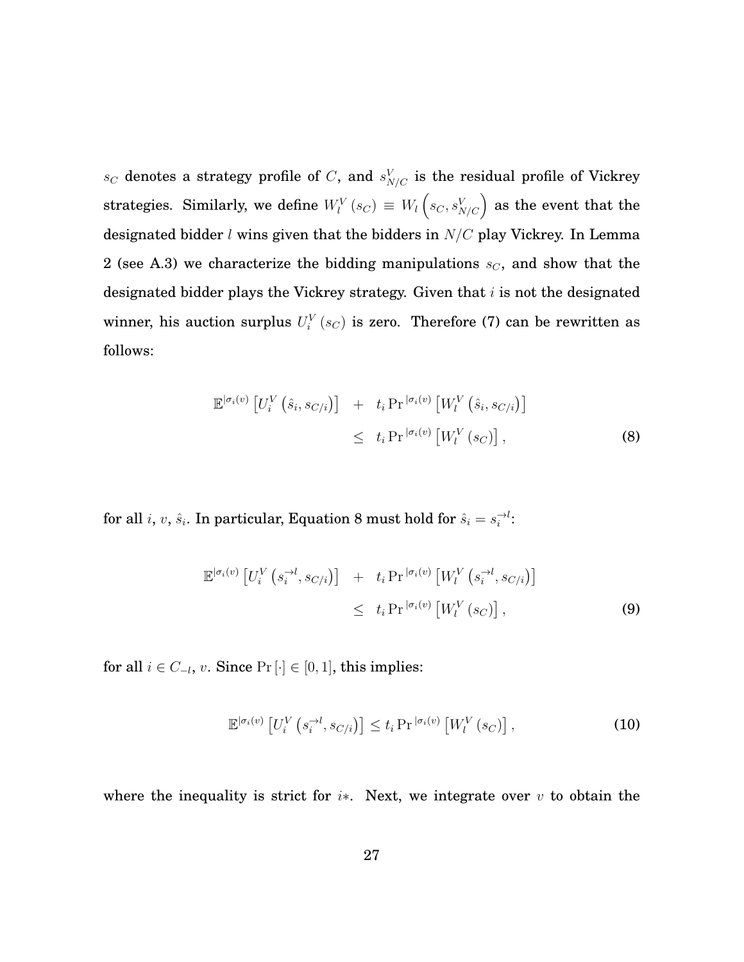$s_C$  denotes a strategy profile of C, and  $s_{N/C}^V$  is the residual profile of Vickrey strategies. Similarly, we define  $W_l^V\left(s_C\right) \, \equiv \, W_l\left(s_C,s_{N/C}^V\right)$  as the event that the designated bidder  $l$  wins given that the bidders in  $N/C$  play Vickrey. In Lemma 2 (see [A.3\)](#page-31-0) we characterize the bidding manipulations  $s_C$ , and show that the designated bidder plays the Vickrey strategy. Given that  $i$  is not the designated winner, his auction surplus  $U_i^V(s_C)$  is zero. Therefore [\(7\)](#page-27-1) can be rewritten as follows:

<span id="page-28-0"></span>
$$
\mathbb{E}^{|\sigma_i(v)} \left[ U_i^V \left( \hat{s}_i, s_{C/i} \right) \right] + t_i \Pr^{|\sigma_i(v)} \left[ W_l^V \left( \hat{s}_i, s_{C/i} \right) \right] \n\leq t_i \Pr^{|\sigma_i(v)} \left[ W_l^V \left( s_C \right) \right],
$$
\n(8)

for all  $i, v, \hat{s}_i$ . In particular, Equation [8](#page-28-0) must hold for  $\hat{s}_i = s_i^{-\lambda}$ :

$$
\mathbb{E}^{|\sigma_i(v)} \left[ U_i^V \left( s_i^{-\lambda l}, s_{C/i} \right) \right] + t_i \Pr^{|\sigma_i(v)} \left[ W_l^V \left( s_i^{-\lambda l}, s_{C/i} \right) \right] \leq t_i \Pr^{|\sigma_i(v)} \left[ W_l^V \left( s_C \right) \right], \tag{9}
$$

for all  $i \in C_{-l}$ ,  $v$ . Since Pr $[\cdot] \in [0,1]$ , this implies:

$$
\mathbb{E}^{|\sigma_i(v)}\left[U_i^V\left(s_i^{\to l}, s_{C/i}\right)\right] \le t_i \Pr^{|\sigma_i(v)}\left[W_l^V\left(s_C\right)\right],\tag{10}
$$

where the inequality is strict for  $i*$ . Next, we integrate over  $v$  to obtain the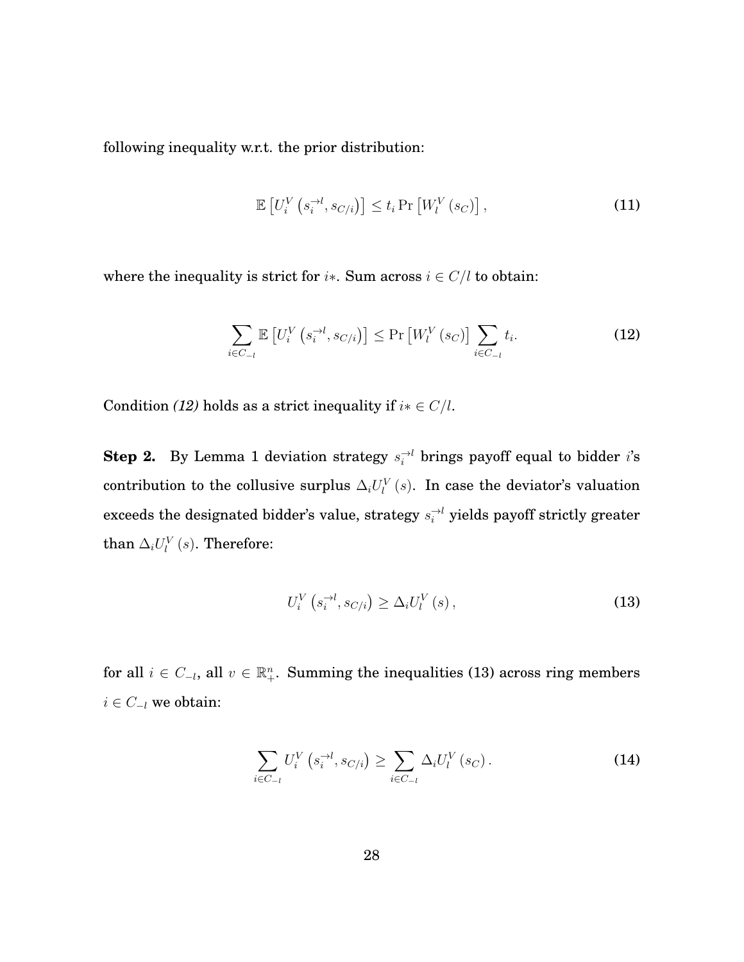following inequality w.r.t. the prior distribution:

$$
\mathbb{E}\left[U_i^V\left(s_i^{-\lambda t}, s_{C/i}\right)\right] \le t_i \Pr\left[W_l^V\left(s_C\right)\right],\tag{11}
$$

where the inequality is strict for  $i*$ . Sum across  $i \in C/l$  to obtain:

<span id="page-29-0"></span>
$$
\sum_{i \in C_{-l}} \mathbb{E}\left[U_i^V\left(s_i^{-l}, s_{C/i}\right)\right] \le \Pr\left[W_l^V\left(s_C\right)\right] \sum_{i \in C_{-l}} t_i. \tag{12}
$$

Condition *[\(12\)](#page-29-0)* holds as a strict inequality if  $i * \in C/l$ .

**Step 2.** By Lemma 1 deviation strategy  $s_i^{\rightarrow l}$  brings payoff equal to bidder *i*'s contribution to the collusive surplus  $\Delta_i U_l^V(s)$ . In case the deviator's valuation exceeds the designated bidder's value, strategy  $s_i^{\rightarrow l}$  yields payoff strictly greater than  $\Delta_i U^V_l(s)$ . Therefore:

<span id="page-29-1"></span>
$$
U_i^V\left(s_i^{-l}, s_{C/i}\right) \geq \Delta_i U_l^V\left(s\right),\tag{13}
$$

for all  $i \in C_{-l}$ , all  $v \in \mathbb{R}^n_+$ . Summing the inequalities [\(13\)](#page-29-1) across ring members  $i \in C_{-l}$  we obtain:

<span id="page-29-2"></span>
$$
\sum_{i \in C_{-l}} U_i^V \left( s_i^{-l}, s_{C/i} \right) \ge \sum_{i \in C_{-l}} \Delta_i U_l^V \left( s_C \right). \tag{14}
$$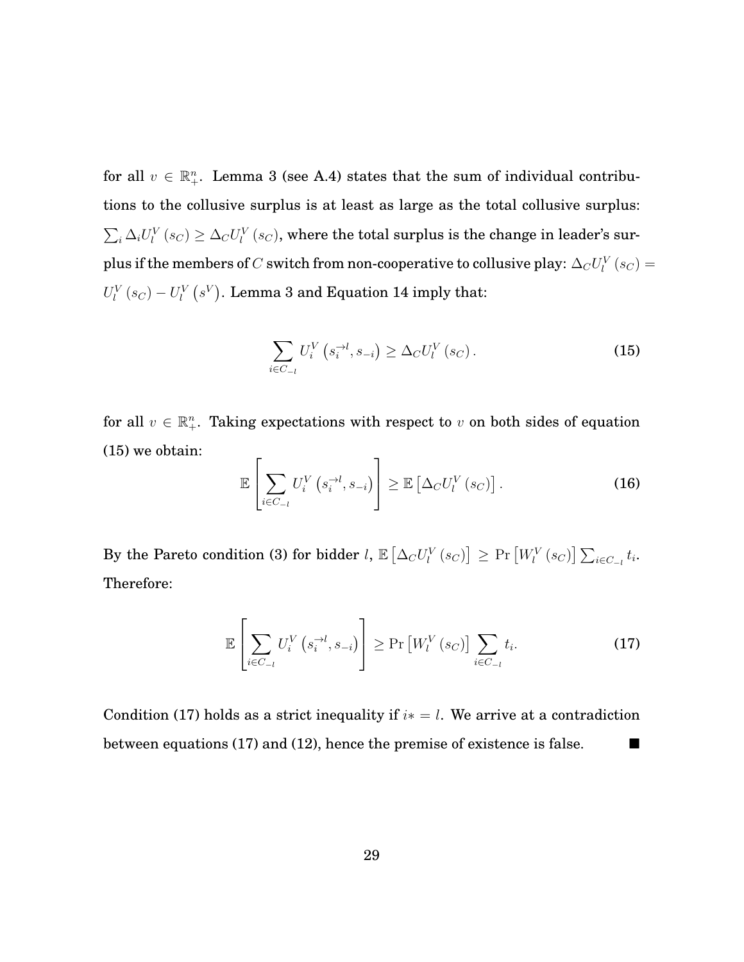for all  $v \in \mathbb{R}^n_+$ . Lemma 3 (see [A.4\)](#page-32-0) states that the sum of individual contributions to the collusive surplus is at least as large as the total collusive surplus:  $\sum_i \Delta_i U^V_l(s_C) \geq \Delta_C U^V_l(s_C)$ , where the total surplus is the change in leader's surplus if the members of  $C$  switch from non-cooperative to collusive play:  $\Delta_C U_l^V\left(s_C\right)=$  $U_l^V\left(s_C\right)-U_l^V\left(s^V\right)$ . Lemma 3 and Equation [14](#page-29-2) imply that:

<span id="page-30-0"></span>
$$
\sum_{i \in C_{-l}} U_i^V \left( s_i^{-l}, s_{-i} \right) \geq \Delta_C U_l^V \left( s_C \right). \tag{15}
$$

for all  $v \in \mathbb{R}^n_+$ . Taking expectations with respect to v on both sides of equation [\(15\)](#page-30-0) we obtain:  $\overline{a}$ 

$$
\mathbb{E}\left[\sum_{i\in C_{-l}} U_i^V\left(s_i^{-\lambda t}, s_{-i}\right)\right] \geq \mathbb{E}\left[\Delta_C U_l^V\left(s_C\right)\right].\tag{16}
$$

By the Pareto condition [\(3\)](#page-18-2) for bidder  $l$ ,  $\mathbb{E}\left[\Delta_C U_l^V\left(s_C\right)\right]\geq \Pr\left[W_l^V\left(s_C\right)\right]\sum_{i\in C_{-l}}t_i.$ Therefore:

<span id="page-30-1"></span>
$$
\mathbb{E}\left[\sum_{i\in C_{-l}} U_i^V\left(s_i^{-\lambda t}, s_{-i}\right)\right] \ge \Pr\left[W_i^V\left(s_C\right)\right] \sum_{i\in C_{-l}} t_i. \tag{17}
$$

Condition [\(17\)](#page-30-1) holds as a strict inequality if  $i* = l$ . We arrive at a contradiction between equations [\(17\)](#page-30-1) and [\(12\)](#page-29-0), hence the premise of existence is false.  $\blacksquare$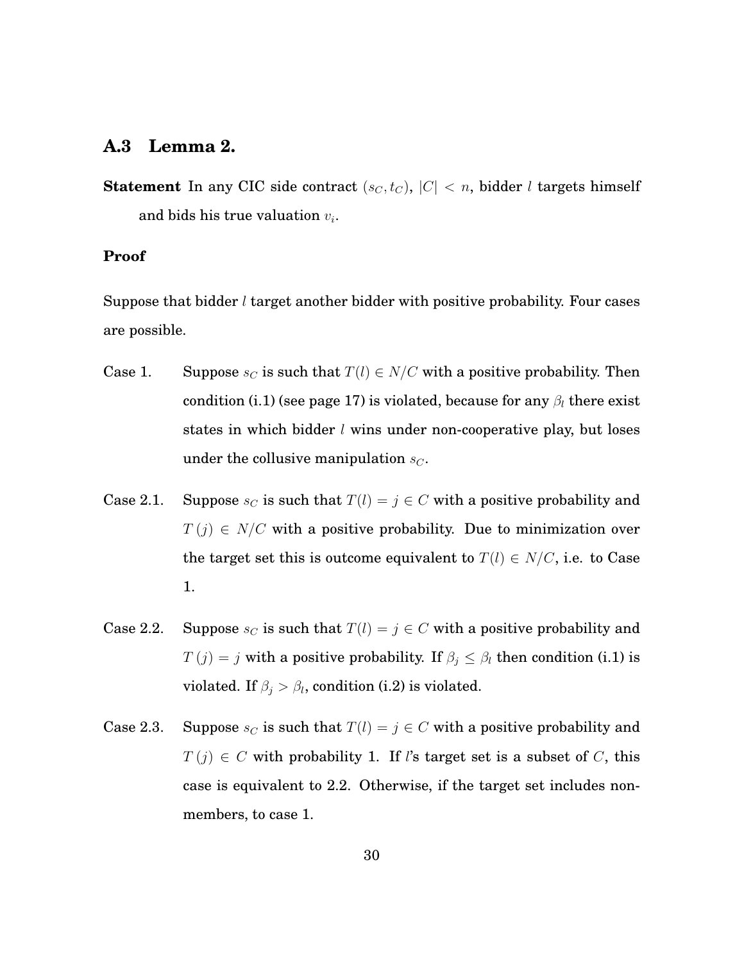#### <span id="page-31-0"></span>**A.3 Lemma 2.**

**Statement** In any CIC side contract  $(s_C, t_C)$ ,  $|C| < n$ , bidder *l* targets himself and bids his true valuation  $v_i$ .

#### **Proof**

Suppose that bidder  $l$  target another bidder with positive probability. Four cases are possible.

- Case 1. Suppose  $s_C$  is such that  $T(l) \in N/C$  with a positive probability. Then condition (i.1) (see page [17\)](#page-18-3) is violated, because for any  $\beta_l$  there exist states in which bidder *l* wins under non-cooperative play, but loses under the collusive manipulation  $s_C$ .
- Case 2.1. Suppose  $s_C$  is such that  $T(l) = j \in C$  with a positive probability and  $T(j) \in N/C$  with a positive probability. Due to minimization over the target set this is outcome equivalent to  $T(l) \in N/C$ , i.e. to Case 1.
- Case 2.2. Suppose  $s_C$  is such that  $T(l) = j \in C$  with a positive probability and  $T(j) = j$  with a positive probability. If  $\beta_j \leq \beta_l$  then condition (i.1) is violated. If  $\beta_j > \beta_l$ , condition (i.2) is violated.
- Case 2.3. Suppose  $s_C$  is such that  $T(l) = j \in C$  with a positive probability and  $T(j) \in C$  with probability 1. If l's target set is a subset of C, this case is equivalent to 2.2. Otherwise, if the target set includes nonmembers, to case 1.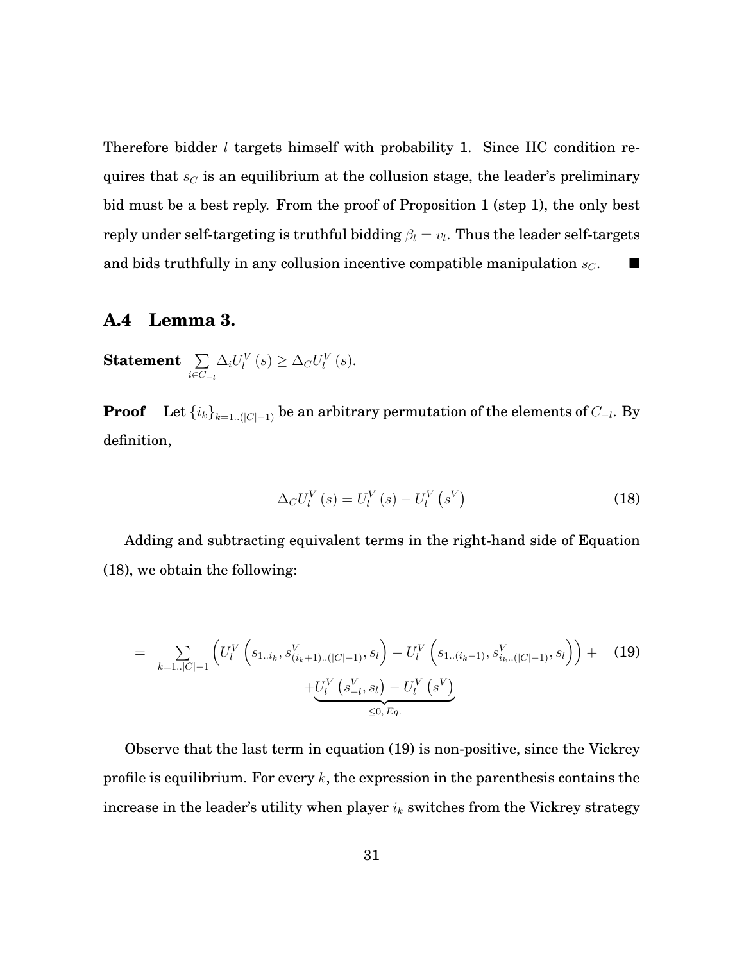Therefore bidder  $l$  targets himself with probability 1. Since IIC condition requires that  $s_C$  is an equilibrium at the collusion stage, the leader's preliminary bid must be a best reply. From the proof of Proposition 1 (step 1), the only best reply under self-targeting is truthful bidding  $\beta_l = v_l.$  Thus the leader self-targets and bids truthfully in any collusion incentive compatible manipulation  $s_C$ .

#### <span id="page-32-0"></span>**A.4 Lemma 3.**

**Statement**  $\sum$  $i ∈ C_{-l}$  $\Delta_i U_l^V(s) \geq \Delta_C U_l^V(s)$ .

**Proof** Let  $\left\{i_k\right\}_{k=1..(|C|-1)}$  be an arbitrary permutation of the elements of  $C_{-l}$ . By definition,

<span id="page-32-1"></span>
$$
\Delta_C U_l^V(s) = U_l^V(s) - U_l^V(s^V)
$$
\n(18)

Adding and subtracting equivalent terms in the right-hand side of Equation [\(18\)](#page-32-1), we obtain the following:

<span id="page-32-2"></span>
$$
= \sum_{k=1..|C|-1} \left( U_l^V \left( s_{1..i_k}, s_{(i_k+1)..(|C|-1)}^V, s_l \right) - U_l^V \left( s_{1..(i_k-1)}, s_{i_k..(|C|-1)}^V, s_l \right) \right) + \underbrace{\left( U_l^V \left( s_{-l}^V, s_l \right) - U_l^V \left( s^V \right) \right)}_{\leq 0, Eq.} \tag{19}
$$

Observe that the last term in equation [\(19\)](#page-32-2) is non-positive, since the Vickrey profile is equilibrium. For every  $k$ , the expression in the parenthesis contains the increase in the leader's utility when player  $i_k$  switches from the Vickrey strategy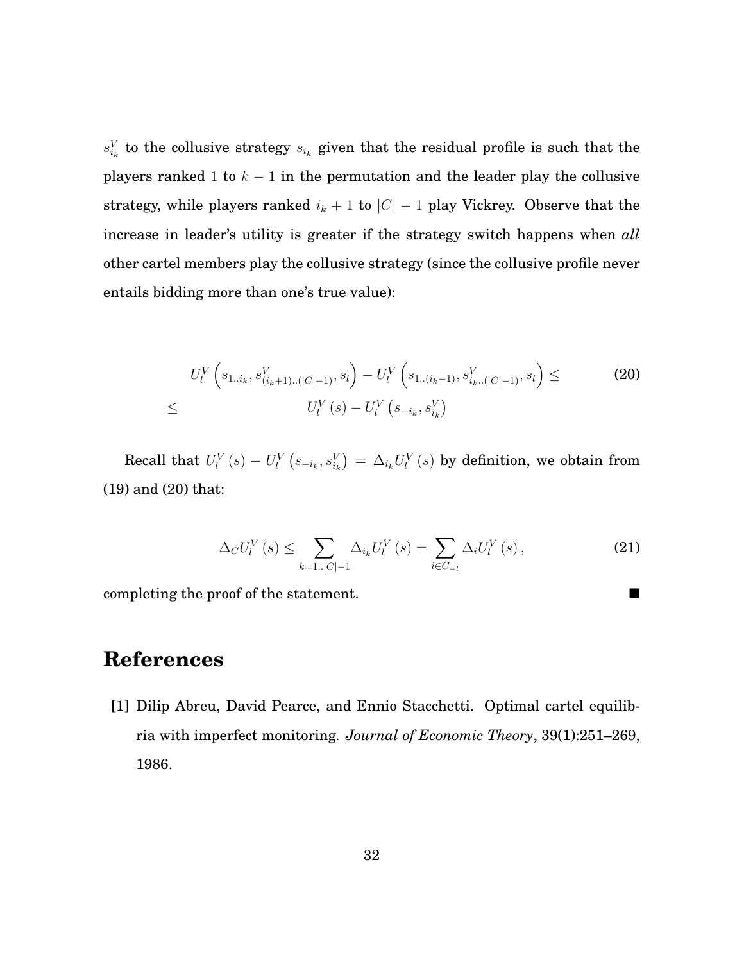$s_{i_k}^V$  to the collusive strategy  $s_{i_k}$  given that the residual profile is such that the players ranked 1 to  $k - 1$  in the permutation and the leader play the collusive strategy, while players ranked  $i_k + 1$  to  $|C| - 1$  play Vickrey. Observe that the increase in leader's utility is greater if the strategy switch happens when *all* other cartel members play the collusive strategy (since the collusive profile never entails bidding more than one's true value):

<span id="page-33-0"></span>
$$
U_{l}^{V}\left(s_{1..i_{k}}, s_{(i_{k}+1)..(|C|-1)}^{V}, s_{l}\right) - U_{l}^{V}\left(s_{1..(i_{k}-1)}, s_{i_{k}..(|C|-1)}^{V}, s_{l}\right) \leq U_{l}^{V}\left(s\right) - U_{l}^{V}\left(s_{-i_{k}}, s_{i_{k}}^{V}\right)
$$
\n
$$
\leq U_{l}^{V}\left(s\right) - U_{l}^{V}\left(s_{-i_{k}}, s_{i_{k}}^{V}\right)
$$
\n
$$
(20)
$$

Recall that  $U_l^V\left(s\right) - U_l^V\left(s_{-i_k},s_{i_k}^V\right) \,=\, \Delta_{i_k} U_l^V\left(s\right)$  by definition, we obtain from [\(19\)](#page-32-2) and [\(20\)](#page-33-0) that:

$$
\Delta_C U_l^V(s) \le \sum_{k=1..|C|-1} \Delta_{i_k} U_l^V(s) = \sum_{i \in C_{-l}} \Delta_i U_l^V(s) , \qquad (21)
$$

completing the proof of the statement.

## **References**

[1] Dilip Abreu, David Pearce, and Ennio Stacchetti. Optimal cartel equilibria with imperfect monitoring. *Journal of Economic Theory*, 39(1):251–269, 1986.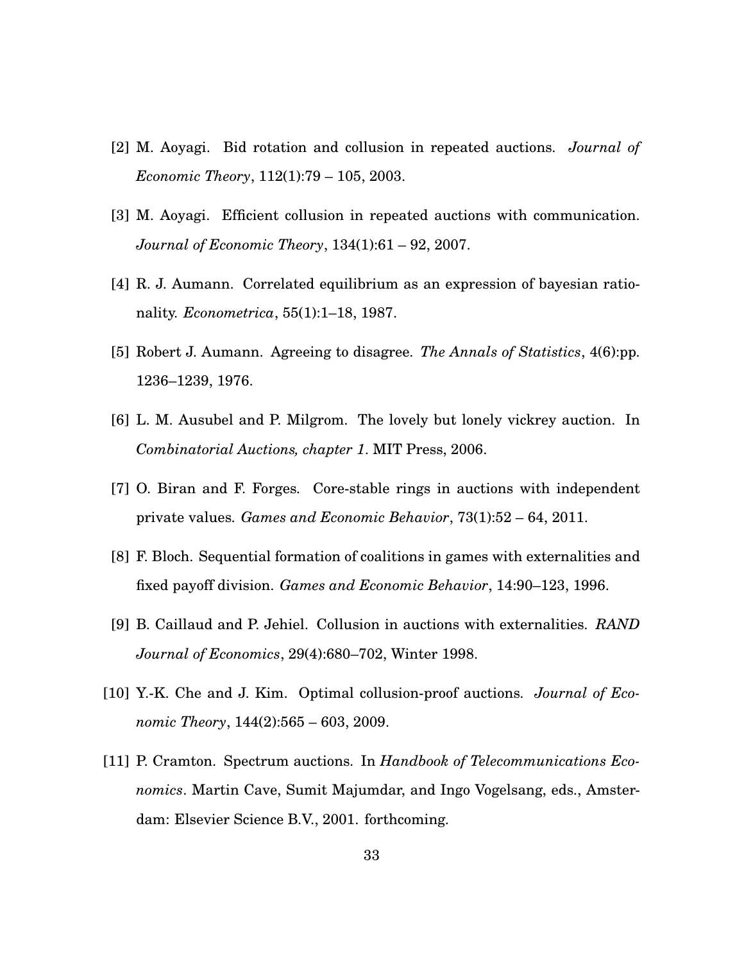- [2] M. Aoyagi. Bid rotation and collusion in repeated auctions. *Journal of Economic Theory*, 112(1):79 – 105, 2003.
- [3] M. Aoyagi. Efficient collusion in repeated auctions with communication. *Journal of Economic Theory*, 134(1):61 – 92, 2007.
- [4] R. J. Aumann. Correlated equilibrium as an expression of bayesian rationality. *Econometrica*, 55(1):1–18, 1987.
- [5] Robert J. Aumann. Agreeing to disagree. *The Annals of Statistics*, 4(6):pp. 1236–1239, 1976.
- [6] L. M. Ausubel and P. Milgrom. The lovely but lonely vickrey auction. In *Combinatorial Auctions, chapter 1*. MIT Press, 2006.
- [7] O. Biran and F. Forges. Core-stable rings in auctions with independent private values. *Games and Economic Behavior*, 73(1):52 – 64, 2011.
- [8] F. Bloch. Sequential formation of coalitions in games with externalities and fixed payoff division. *Games and Economic Behavior*, 14:90–123, 1996.
- [9] B. Caillaud and P. Jehiel. Collusion in auctions with externalities. *RAND Journal of Economics*, 29(4):680–702, Winter 1998.
- [10] Y.-K. Che and J. Kim. Optimal collusion-proof auctions. *Journal of Economic Theory*, 144(2):565 – 603, 2009.
- [11] P. Cramton. Spectrum auctions. In *Handbook of Telecommunications Economics*. Martin Cave, Sumit Majumdar, and Ingo Vogelsang, eds., Amsterdam: Elsevier Science B.V., 2001. forthcoming.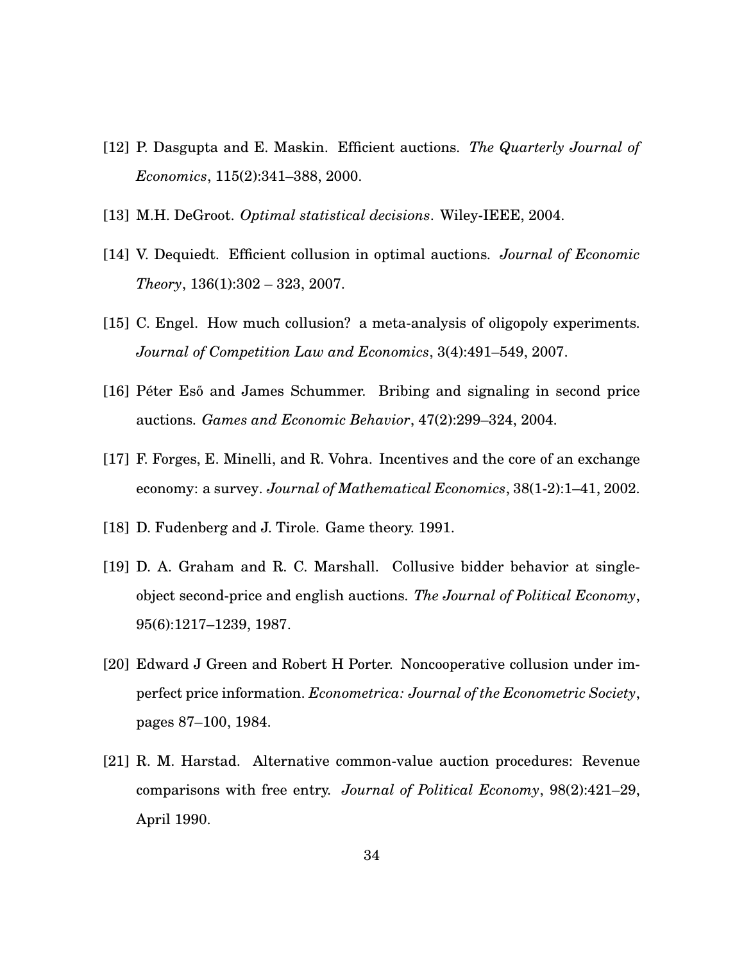- [12] P. Dasgupta and E. Maskin. Efficient auctions. *The Quarterly Journal of Economics*, 115(2):341–388, 2000.
- [13] M.H. DeGroot. *Optimal statistical decisions*. Wiley-IEEE, 2004.
- [14] V. Dequiedt. Efficient collusion in optimal auctions. *Journal of Economic Theory*, 136(1):302 – 323, 2007.
- [15] C. Engel. How much collusion? a meta-analysis of oligopoly experiments. *Journal of Competition Law and Economics*, 3(4):491–549, 2007.
- [16] Péter Eső and James Schummer. Bribing and signaling in second price auctions. *Games and Economic Behavior*, 47(2):299–324, 2004.
- [17] F. Forges, E. Minelli, and R. Vohra. Incentives and the core of an exchange economy: a survey. *Journal of Mathematical Economics*, 38(1-2):1–41, 2002.
- [18] D. Fudenberg and J. Tirole. Game theory. 1991.
- [19] D. A. Graham and R. C. Marshall. Collusive bidder behavior at singleobject second-price and english auctions. *The Journal of Political Economy*, 95(6):1217–1239, 1987.
- [20] Edward J Green and Robert H Porter. Noncooperative collusion under imperfect price information. *Econometrica: Journal of the Econometric Society*, pages 87–100, 1984.
- [21] R. M. Harstad. Alternative common-value auction procedures: Revenue comparisons with free entry. *Journal of Political Economy*, 98(2):421–29, April 1990.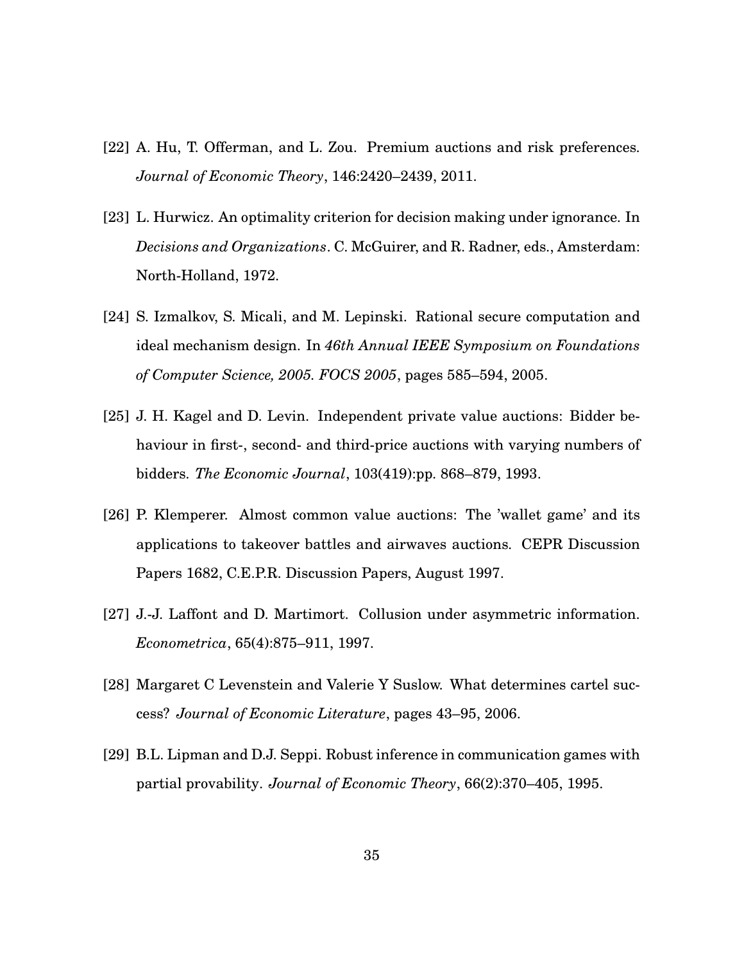- [22] A. Hu, T. Offerman, and L. Zou. Premium auctions and risk preferences. *Journal of Economic Theory*, 146:2420–2439, 2011.
- [23] L. Hurwicz. An optimality criterion for decision making under ignorance. In *Decisions and Organizations*. C. McGuirer, and R. Radner, eds., Amsterdam: North-Holland, 1972.
- [24] S. Izmalkov, S. Micali, and M. Lepinski. Rational secure computation and ideal mechanism design. In *46th Annual IEEE Symposium on Foundations of Computer Science, 2005. FOCS 2005*, pages 585–594, 2005.
- [25] J. H. Kagel and D. Levin. Independent private value auctions: Bidder behaviour in first-, second- and third-price auctions with varying numbers of bidders. *The Economic Journal*, 103(419):pp. 868–879, 1993.
- [26] P. Klemperer. Almost common value auctions: The 'wallet game' and its applications to takeover battles and airwaves auctions. CEPR Discussion Papers 1682, C.E.P.R. Discussion Papers, August 1997.
- [27] J.-J. Laffont and D. Martimort. Collusion under asymmetric information. *Econometrica*, 65(4):875–911, 1997.
- [28] Margaret C Levenstein and Valerie Y Suslow. What determines cartel success? *Journal of Economic Literature*, pages 43–95, 2006.
- [29] B.L. Lipman and D.J. Seppi. Robust inference in communication games with partial provability. *Journal of Economic Theory*, 66(2):370–405, 1995.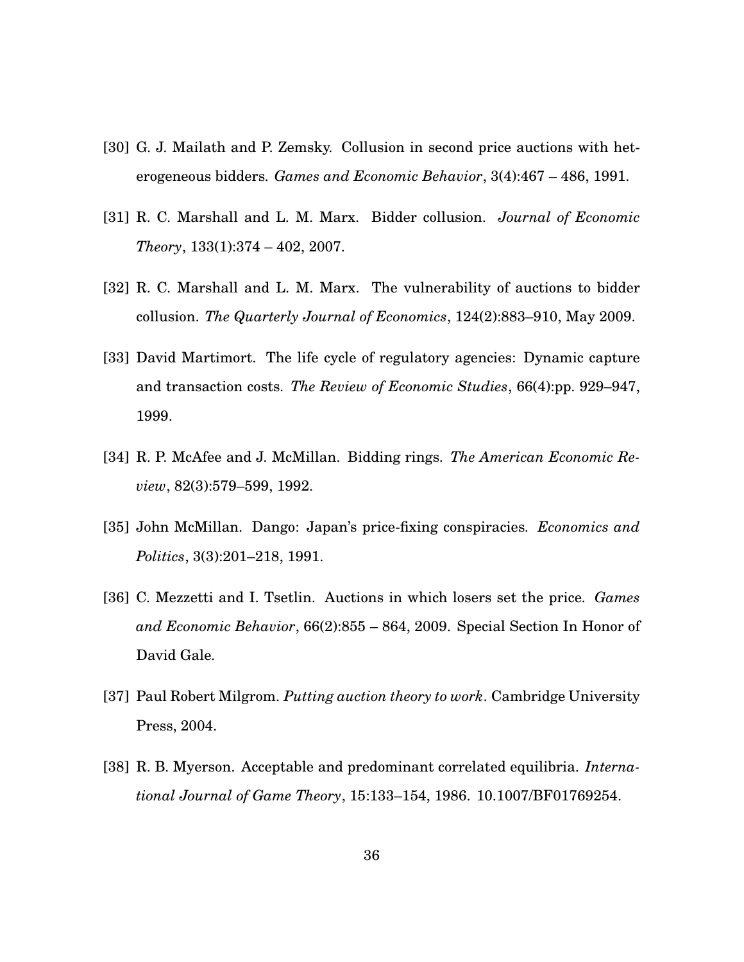- [30] G. J. Mailath and P. Zemsky. Collusion in second price auctions with heterogeneous bidders. *Games and Economic Behavior*, 3(4):467 – 486, 1991.
- [31] R. C. Marshall and L. M. Marx. Bidder collusion. *Journal of Economic Theory*, 133(1):374 – 402, 2007.
- [32] R. C. Marshall and L. M. Marx. The vulnerability of auctions to bidder collusion. *The Quarterly Journal of Economics*, 124(2):883–910, May 2009.
- [33] David Martimort. The life cycle of regulatory agencies: Dynamic capture and transaction costs. *The Review of Economic Studies*, 66(4):pp. 929–947, 1999.
- [34] R. P. McAfee and J. McMillan. Bidding rings. *The American Economic Review*, 82(3):579–599, 1992.
- [35] John McMillan. Dango: Japan's price-fixing conspiracies. *Economics and Politics*, 3(3):201–218, 1991.
- [36] C. Mezzetti and I. Tsetlin. Auctions in which losers set the price. *Games and Economic Behavior*, 66(2):855 – 864, 2009. Special Section In Honor of David Gale.
- [37] Paul Robert Milgrom. *Putting auction theory to work*. Cambridge University Press, 2004.
- [38] R. B. Myerson. Acceptable and predominant correlated equilibria. *International Journal of Game Theory*, 15:133–154, 1986. 10.1007/BF01769254.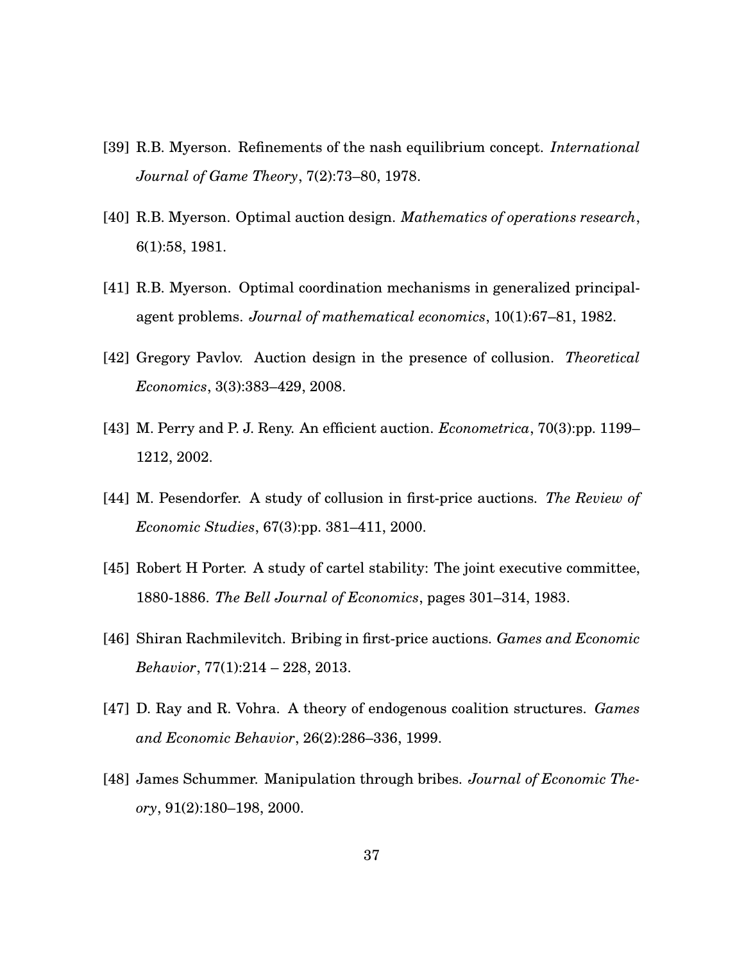- [39] R.B. Myerson. Refinements of the nash equilibrium concept. *International Journal of Game Theory*, 7(2):73–80, 1978.
- [40] R.B. Myerson. Optimal auction design. *Mathematics of operations research*, 6(1):58, 1981.
- [41] R.B. Myerson. Optimal coordination mechanisms in generalized principalagent problems. *Journal of mathematical economics*, 10(1):67–81, 1982.
- [42] Gregory Pavlov. Auction design in the presence of collusion. *Theoretical Economics*, 3(3):383–429, 2008.
- [43] M. Perry and P. J. Reny. An efficient auction. *Econometrica*, 70(3):pp. 1199– 1212, 2002.
- [44] M. Pesendorfer. A study of collusion in first-price auctions. *The Review of Economic Studies*, 67(3):pp. 381–411, 2000.
- [45] Robert H Porter. A study of cartel stability: The joint executive committee, 1880-1886. *The Bell Journal of Economics*, pages 301–314, 1983.
- [46] Shiran Rachmilevitch. Bribing in first-price auctions. *Games and Economic Behavior*, 77(1):214 – 228, 2013.
- [47] D. Ray and R. Vohra. A theory of endogenous coalition structures. *Games and Economic Behavior*, 26(2):286–336, 1999.
- [48] James Schummer. Manipulation through bribes. *Journal of Economic Theory*, 91(2):180–198, 2000.